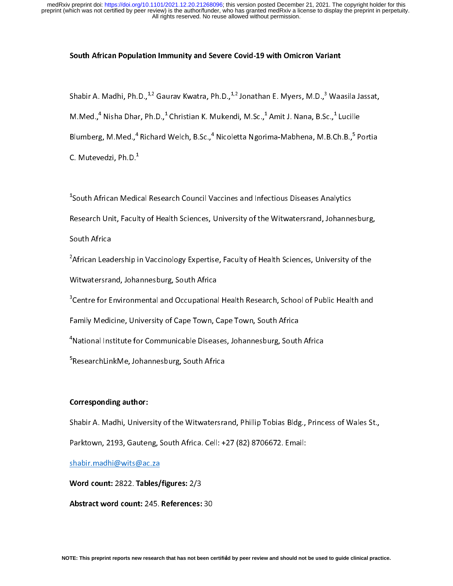### South African Population Immunity and Severe Covid-19 with Omicron Variant

؟<br>|<br>|} Shabir A. Madhi, Ph.D., <sup>42</sup> Gaurav Kwatra, Ph.D., <sup>42</sup> Jonathan E. Myers, M.D.,<sup>3</sup> Waasila Jassat,<br>M.Med.,<sup>4</sup> Nisha Dhar, Ph.D.,<sup>1</sup> Christian K. Mukendi, M.Sc.,<sup>1</sup> Amit J. Nana, B.Sc.,<sup>1</sup> Lucille<br>Blumberg, M.Med.,<sup>4</sup> Rich M.Med.,\* Nisha Dhar, Ph.D.,\* Christian K. Mukendi, M.Sc.,\* Amit J. Nana, B.Sc.,\* Lucille<br>Blumberg, M.Med.,<sup>4</sup> Richard Welch, B.Sc.,<sup>4</sup> Nicoletta Ngorima-Mabhena, M.B.Ch.B.,<sup>5</sup> P<br>C. Mutevedzi, Ph.D.<sup>1</sup><br>1 C. Mutevedzi, Ph.D.<sup>1</sup><br><sup>1</sup>South African Medical Research Council Vaccines and Infectious Diseases Analytics<br>Research Unit, Faculty of Health Sciences, University of the Witwatersrand, Johannesburg, Richard Welch, B.Sc.,\*<br>.<br>.<br>cal Research Council V. Nicoletta Ngorima-Mabhena, M.B.Ch.B., $^{\circ}$ <br>accines and Infectious Diseases Analytics

<sup>1</sup>South African Medical Research Council Vaccines and Infectious Diseases Analytics

C. Mutevedzi, Ph.D.<sup>1</sup><br><sup>1</sup>South African Medic<br>Research Unit, Facult  $\begin{bmatrix} 1 \\ 1 \end{bmatrix}$ 

,<br>Research Unit, Faculty of Health Sciences, University of the Witwatersrand, Johanne<br>South Africa<br>African Leadership in Vaccinology Expertise, Faculty of Health Sciences, University c Research Unit, Faculty of Health Unit, Faculty of Health Sciences, University of the Witwatersrand, Johannesburg, South Africa <sup>2</sup>African Leac<br>Witwatersra<br><sup>3</sup>Centre for E 2 African University of Leadership in Vaccinos Centre for Environmental and Occupational Health Research, School of Public Health and<br>Centre for Environmental and Occupational Health Research, School of Public Health and<br>Cam

<sup>3</sup>Centre for Environmental and Occupationa<br>Family Medicine, University of Cape Town, C<br><sup>4</sup>National Institute for Communicable Diseas<br>- $\overline{a}$ 

Centre for Environmental and Occupational Health Research, School of Africa<br>Centre for Communicable Diseases, Johannesburg, South Africa<br>ResearchLinkMe, Johannesburg, South Africa Family Medicine, School, One Cape Town, Cape Town, Capacheline<br><sup>5</sup><br>FresearchLinkMe, Johannesburg, South Africa<br>FresearchLinkMe, Johannesburg, South Africa 1

National Institute for Communicational Institute, Johannesburg, Johannesburg, Johannesburg, South Africa<br>ResearchLinkMe, Johannesburg, South Africa<br>Corresponding author: <sup>5</sup>ResearchLinkMe, Johannesburg, South Africa

# )<br>}<br>|} Corresponding author:

Shabir A. Madhi, University of the Witwatersrand, Phillip Tobias Bldg., Princess of Wales St.,<br>Parktown, 2193, Gauteng, South Africa. Cell: +27 (82) 8706672. Email:

Shabir Madhi (2193, Gauteng, South Africa. Cell: +27 (82) 8706672. Email:<br>Shabir Madhi (@wits @ac.za)<br>Word count: 2822. Tables / figures: 2/3

shabir.madhi@wits@ac.za<br>Word count: 2822. Tables/figures: 2/3<br>Abstract word count: 245. References: 30

Parktown, 2193, Gauteng, South Africa. Cell: +27 (82) 8706672. Email: Word count: 2022. Tables, figures: 2/3<br>Abstract word count: 245. References:<br>TE: This preprint reports new research that has not be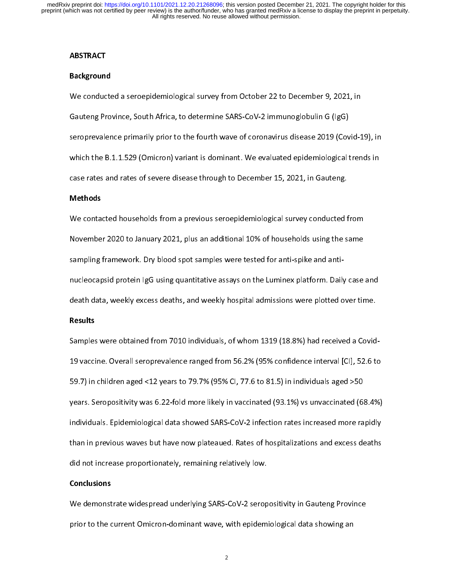#### **ABSTRACT**

### Background

Gauteng Province, South Africa, to determine SARS-CoV-2 immunoglobulin G (IgG)<br>seroprevalence primarily prior to the fourth wave of coronavirus disease 2019 (Covid-1<br>which the B.1.1.529 (Omicron) variant is dominant. We ev Seroprevalence primarily prior to the fourth wave of coronavirus disease 2019 (Cov-<br>Which the B.1.1.529 (Omicron) variant is dominant. We evaluated epidemiological to<br>Case rates and rates of severe disease through to Decem seropresence primarily prior to the fourth wave of correlations and served one of (Coronavirus), in<br>which the B.1.1.529 (Omicron) variant is dominant. We evaluated epidemiological trends in<br>case rates and rates of severe d case rates and rates of severe disease through to December 15, 2021, in Gauteng.<br>Methods<br>We contacted households from a previous seroepidemiological survey conducted from

# Methods

case rates and response the contacted households from a previous seroepidemiological survey conducted to November 2020 to January 2021, plus an additional 10% of households using the s November 2020 to January 2021, plus an additional 10% of households using the same<br>sampling framework. Dry blood spot samples were tested for anti-spike and anti-<br>nucleocapsid protein IgG using quantitative assays on the L Sompling framework. Dry blood spot samples were tested for anti-spike and anti-<br>nucleocapsid protein IgG using quantitative assays on the Luminex platform. Daily case<br>death data, weekly excess deaths, and weekly hospital a death data, weekly excess deaths, and weekly hospital admissions were plotted over time.<br>Results<br>Samples were obtained from 7010 individuals, of whom 1319 (18.8%) had received a Covid-

# Results

Results<br>Results<br>Samples were obtained from 7010 individuals, of whom 1319 (18.8%) had received a Covid<br>19 vaccine. Overall seroprevalence ranged from 56.2% (95% confidence interval [CI], 52.6 t 19 vacuum overall seroprevalence ranged from 1910 (1910 confidence interval [10], 1911 in<br>59.7) in children aged <12 years to 79.7% (95% Cl, 77.6 to 81.5) in individuals aged >50<br>years. Seropositivity was 6.22-fold more li 59.79.<br>19.9 years. Seropositivity was 6.22-fold more likely in vaccinated (93.1%) vs unvaccinated (6<br>19.1%) individuals. Epidemiological data showed SARS-CoV-2 infection rates increased more ra<br>19.1 than in previous waves years. Seropositivity was 6.22 fold more likely in vacantical (93.1%) is antiactmental (93.1%)<br>individuals. Epidemiological data showed SARS-CoV-2 infection rates increased more rapidly<br>than in previous waves but have now individuals. The minimism of than in previous waves but have now plateaued. Rates of hospitalizations and excess deaths did not increase proportionately, remaining relatively low.<br>Conclusions than in previous waves but have now plateaued interpretienting and have now plates<br>did not increase proportionately, remaining relatively low.<br>We demonstrate widespread underlying SARS-CoV-2 seropositivity in Gauteng Provi

### Conclusions

did not increase proportionately, remaining relatively low.<br> **Conclusions**<br>
We demonstrate widespread underlying SARS-CoV-2 seropositivity in Gauteng Province<br>
prior to the current Omicron-dominant wave, with epidemiologic We demonstrate which pread underlying SARS-COV-2 seropositivity in Gauteng Province<br>prior to the current Omicron-dominant wave, with epidemiological data showing an<br>2 prior to the current Omicron-dominant wave, with epidemiological data showing an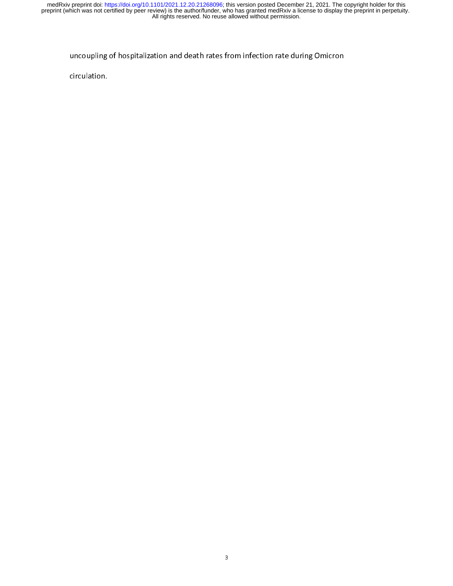$\frac{1}{2}$  is defined and death rate during order  $\frac{1}{2}$  is defined and defined by  $\frac{1}{2}$  is defined as  $\frac{1}{2}$  is defined as  $\frac{1}{2}$  is defined as  $\frac{1}{2}$  is defined as  $\frac{1}{2}$  is defined as  $\frac{1}{2}$  is def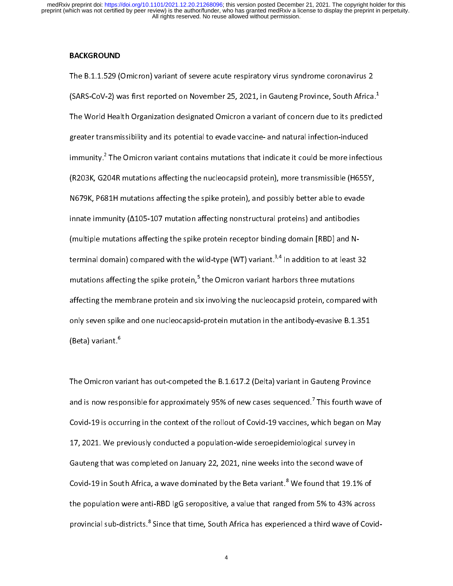# BACKGROUND

The B.1.1.529 (Omicron) variant of severe acute respiratory virus syndrome coronavirus 2<br>(SARS-CoV-2) was first reported on November 25, 2021, in Gauteng Province, South Africa.<sup>1</sup><br>The World Health Organization designated (SARS-CoV-2) was first reported on November 25, 2021, in Gauteng Province, South Africa.<sup>4</sup><br>The World Health Organization designated Omicron a variant of concern due to its predicte<br>greater transmissibility and its potenti  $\frac{1}{2}$ The World Health Organization acagonated Omicron a random of concern due to the predicted<br>greater transmissibility and its potential to evade vaccine- and natural infection-induced<br>immunity.<sup>2</sup> The Omicron variant contains immunity.<sup>2</sup> The Omicron variant contains mutations that indicate it could be more infection<br>(R203K, G204R mutations affecting the nucleocapsid protein), more transmissible (H655)<br>N679K, P681H mutations affecting the spike immunity.<sup>2</sup><br>(R203K, G2<br>N679K, P68<br>innate imm O4R mutations affecting the nucleocapsid protein), more transmissible (H655Y,<br>31H mutations affecting the spike protein), and possibly better able to evade<br>11H mutations affecting the spike protein), and possibly better ab M679K, P681H mutations affecting the spike protein), and possibly better able to evade<br>innate immunity (A105-107 mutation affecting nonstructural proteins) and antibodies<br>(multiple mutations affecting the spike protein rec Innate immunity ( $\Delta$ 105-107 mutation affecting nonstructural proteins) and antibodies<br>(multiple mutations affecting the spike protein receptor binding domain [RBD] and N-<br>terminal domain) compared with the wild-type (WT) (multiple mutations affecting the spike protein receptor binding domain [RBD] and N-<br>terminal domain) compared with the wild-type (WT) variant.<sup>3,4</sup> In addition to at least 3<br>mutations affecting the spike protein,<sup>5</sup> the only seven spike and one nucleocapsid-protein mutation in the antibody-evasive  $B.1.351$ terminal domain) compared with the wild-type (WT) variant.<sup>3,4</sup> In addition to at least 32<br>mutations affecting the spike protein,<sup>5</sup> the Omicron variant harbors three mutations<br>affecting the membrane protein and six involv mutations affecting the spike protein,"<br>affecting the membrane protein and si<br>only seven spike and one nucleocapsid<br>(Beta) variant.<sup>6</sup> mutations affecting the spike protein,<sup>5</sup> the Omicron variant harbors three mutations<br>affecting the membrane protein and six involving the nucleocapsid protein, compared with an example in membrane protein and six involving the nucleocappin protein, compared with<br>only seven spike and one nucleocapsid-protein mutation in the antibody-evasive B.1.351<br>(Beta) variant.<sup>6</sup> only seven spike and one nucleocapsid-protein mutation in the antibody-scheme share<br>(Beta) variant.<sup>6</sup><br>The Omicron variant has out-competed the B.1.617.2 (Delta) variant in Gauteng Province

(Beta) variant.<sup>o</sup><br>The Omicron va<br>and is now resp )<br>}  $\frac{1}{2}$ and is now responsible for approximately 95% of new cases sequenced.<sup>7</sup> This fourth wave<br>Covid-19 is occurring in the context of the rollout of Covid-19 vaccines, which began on M<br>17, 2021. We previously conducted a popula and is now responsible for approximately 95% of new cases sequenced.'<br>Covid-19 is occurring in the context of the rollout of Covid-19 vaccines, w<br>17, 2021. We previously conducted a population-wide seroepidemiologic<br>Gauten Covid-19 is occurring in the context of the rollout of Covid-19 vaccines, which began on May<br>17, 2021. We previously conducted a population-wide seroepidemiological survey in<br>Gauteng that was completed on January 22, 2021, Covid-17, 2021. We previously conducted a population-wide seroepidemiological survey in<br>Gauteng that was completed on January 22, 2021, nine weeks into the second wave of<br>Covid-19 in South Africa, a wave dominated by the B Gauteng that was completed on January 22, 2021, nine weeks into the second wave of<br>Covid-19 in South Africa, a wave dominated by the Beta variant.<sup>8</sup> We found that 19.1% of<br>the population were anti-RBD IgG seropositive, a Covid-19 in South Africa, a wave dominated by the Beta variant.<sup>8</sup> We found that 19.1%<br>the population were anti-RBD IgG seropositive, a value that ranged from 5% to 43% acr<br>provincial sub-districts.<sup>8</sup> Since that time, Sou Covid-19 in South Africa, a wave dominated by the Beta variant.° We found that 19.1% of<br>the population were anti-RBD IgG seropositive, a value that ranged from 5% to 43% across<br>provincial sub-districts.<sup>8</sup> Since that time, provincial sub-districts.<sup>8</sup> Since that time, South Africa has experienced a third wave of Covid<br>4 provincial sub-districts.<sup>8</sup><br>|<br>|

4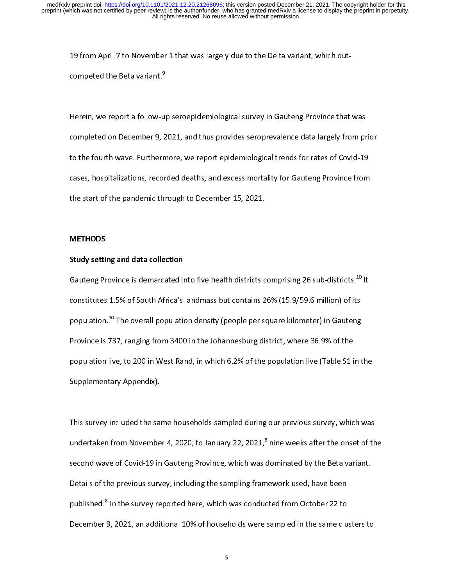19 from April 7 to November 1 that was largely due to the Delta variant, which out-

competed the Beta variant."<br>Herein, we report a follow-u<br>completed on December 9, <mark>:</mark>  $\frac{1}{2}$ |<br>|<br>| Herein, we report a follow-up seroepidemiological survey in Gauteng Province that was<br>completed on December 9, 2021, and thus provides seroprevalence data largely from prior<br>to the fourth wave. Furthermore, we report epide compresents on December 9, 2022, and thus provides seropresented at thus provided to the fourth wave. Furthermore, we report epidemiological trends for rates of Covid-19 cases, hospitalizations, recorded deaths, and excess to the fourth wave. Furthermore, the fourth waves the start of the pandemic through to December 15, 2021.<br>The start of the pandemic through to December 15, 2021. cases, the start of the pandemic through to December 15, 2021.<br> **CAUSE METHODS** 

# METHODS

# the start of the start of the panel of the panel of the panel of the panel of the panel of the panel of the panel of the panel of the panel of the panel of the panel of the panel of the panel of the panel of the panel of t Study setting and data collection

 $\frac{1}{2}$ Gauteng Province is demarcated into five health districts comprising 26 sub-districts.<sup>20</sup> It<br>constitutes 1.5% of South Africa's landmass but contains 26% (15.9/59.6 million) of its<br>population.<sup>10</sup> The overall population d constitutes 1.5% of South Africa's landmass but contains 26% (15.9/59.6 million) of its<br>population.<sup>10</sup> The overall population density (people per square kilometer) in Gauteng<br>Province is 737, ranging from 3400 in the Joha population.<sup>20</sup> The overall population density (people per square kilometer) in Gauteng<br>Province is 737, ranging from 3400 in the Johannesburg district, where 36.9% of the<br>population live, to 200 in West Rand, in which 6.2 Province is 1337, ranging from 342 in the Schmin Stating alsence, where 3400 in the<br>population live, to 200 in West Rand, in which 6.2% of the population live (Table S1 i<br>Supplementary Appendix). population in sy to 200 in West Rand, in which cases to 200 pp<br>Supplementary Appendix).<br>This survey included the same households sampled during our previous survey, which was

 $\begin{array}{l} \begin{array}{l} \text{This survey included the sa} \\ \text{undertaken from November} \end{array} \end{array}$  $\frac{1}{2}$ IFT THIS SET IN THIS SET THIS INTERNATION IN THIS UNIVER INTERNATION INTIAL SECOND WAVE OF COVID-19 in Gauteng Province, which was dominated by the Beta variant.<br>Details of the previous survey, including the sampling frame second wave of Covid-19 in Gauteng Province, which was dominated by the Beta variant.<br>Details of the previous survey, including the sampling framework used, have been<br>published.<sup>8</sup> In the survey reported here, which was co nine week after the energy interest.<br>dominated by the Beta variant.<br>ework used, have been<br>tted from October 22 to Details of the previous survey, including the sampling framework used, have been<br>published.<sup>8</sup> In the survey reported here, which was conducted from October 22 to<br>December 9, 2021, an additional 10% of households were samp published.<sup>8</sup> In the survey reported here, which was conducted from October 22 to<br>December 9, 2021, an additional 10% of households were sampled in the same clu<br>5 published." In the survey reported here, which was conducted from October 22 to<br>December 9, 2021, an additional 10% of households were sampled in the same clu<br>5  $\begin{array}{c} \text{S} \\ \text{S} \end{array}$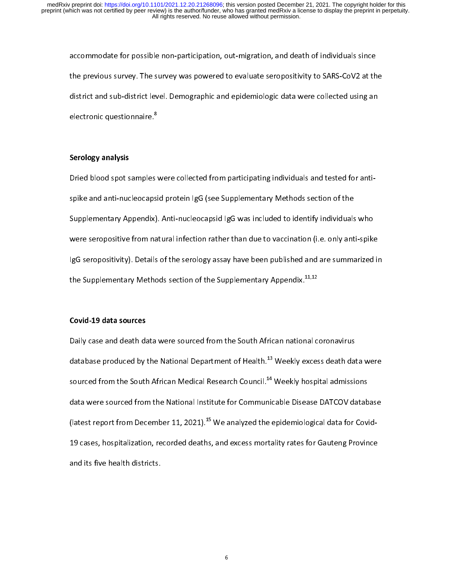the previous survey. The survey was powered to evaluate seropositivity to SARS-CoV2 at th<br>district and sub-district level. Demographic and epidemiologic data were collected using an<br>electronic questionnaire.<sup>8</sup> the previous survey. The survey was powered to evaluate seropositivity to sums so the surface<br>district and sub-district level. Demographic and epidemiologic data were collected using an<br>electronic questionnaire.<sup>8</sup> district and sub-district called using and epidemiologic data were collected using an<br>electronic questionnaire.<sup>8</sup><br>Serology analysis

electronic questionnaire.°<br>Serology analysis<br>Dried blood spot samples  $\frac{1}{2}$ ؟<br>!<br>! Serology analysis<br>Dried blood spot samples were collected from participating individuals and tested for anti-<br>spike and anti-nucleocapsid protein IgG (see Supplementary Methods section of the<br>Supplementary Appendix). Antisupplementary Appendix). Anti-nucleocapsid IgG was included to identify individuals<br>were seropositive from natural infection rather than due to vaccination (i.e. only ant<br>IgG seropositivity). Details of the serology assay Supplementary Appendix). Anti-nucleocappeding time included to identify individuals who<br>were seropositivity from natural infection rather than due to vaccination (i.e. only anti-spike<br>IgG seropositivity). Details of the se lgG seropositivity). Details of the serology assay have been published and are summarized in<br>the Supplementary Methods section of the Supplementary Appendix.<sup>11,12</sup><br> Ighthe Supplementary Methods section of the Supplementary Appendix.<sup>11,12</sup><br>Covid-19 data sources

# Covid-19 data sources

the Supplementary Methods section of the Supplementary Appendix.<sup>11,12</sup><br>Covid-19 data sources<br>Daily case and death data were sourced from the South African national c ا<br>]<br>} database produced by the National Department of Health.<sup>13</sup> Weekly excess death dat<br>sourced from the South African Medical Research Council.<sup>14</sup> Weekly hospital admission<br>data were sourced from the National Institute for C database produced by the National Department of Health.<sup>25</sup> Weekly excess death data were<br>sourced from the South African Medical Research Council.<sup>14</sup> Weekly hospital admissions<br>data were sourced from the National Institut sourced from the South African Medical Research Council.<sup>44</sup> Weekly hospital admissions<br>data were sourced from the National Institute for Communicable Disease DATCOV datab<br>(latest report from December 11, 2021).<sup>15</sup> We ana (latest report from December 11, 2021).<sup>15</sup> We analyzed the epidemiological data for Covid-<br>19 cases, hospitalization, recorded deaths, and excess mortality rates for Gauteng Province<br>and its five health districts. (latest report from December 11, 2021).<sup>35</sup> We analyzed the epidemiological data for Covid-<br>19 cases, hospitalization, recorded deaths, and excess mortality rates for Gauteng Province<br>and its five health districts. 19 cases, inspectmental, recorded deaths, and excess mortality, rates for Caucas, excess and its five health districts.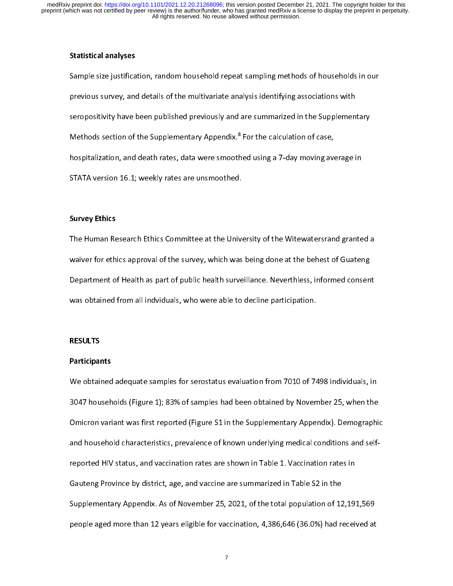# Statistical analyses

Sample size justification, random household repeat sampling methods samples in an approvious survey, and details of the multivariate analysis identifying associations with<br>seropositivity have been published previously and previous survey, and details of the multivariate analysis identifying associations with<br>seropositivity have been published previously and are summarized in the Supplementary<br>Methods section of the Supplementary Appendix.<sup>8</sup> Seropositivity have been published previously and are summarized in the Supplementary<br>Methods section of the Supplementary Appendix.<sup>8</sup> For the calculation of case,<br>hospitalization, and death rates, data were smoothed usin Methods section of the Supplementary Appendix."<br>hospitalization, and death rates, data were smooth<br>STATA version 16.1; weekly rates are unsmoothed.<br>. red using a 7-day moving ave<br><br>
The case of cases<br>
The case of cases<br>
The cases of cases<br>
The cases of cases<br>
The cases of cases<br>
The case of cases<br>
The case of cases<br>
The case of cases<br>
The case of cases<br>
The case of cases hospitalization, and death rates, are unsmoothed.<br>STATA version 16.1; weekly rates are unsmoothed.<br>Survey Ethics

# Survey Ethics

The Human Research Ethics Committee at the University of the Witewatersrand granted a<br>waiver for ethics approval of the survey, which was being done at the behest of Guateng  $\frac{1}{2}$ waiver for ethics approval of the survey, which was being done at the behest of Guateng<br>Department of Health as part of public health surveillance. Neverthless, informed consent<br>was obtained from all indviduals, who were a Department of Health as part of public health surveillance. Neverthless, informed consen<br>was obtained from all indviduals, who were able to decline participation.<br>Was obtained from all indviduals, who were able to decline We<br>was obtained from all indviduals, who were able to decline participation.<br>RESULTS

# RESULTS

# was obtained from all induities, who were able to decline participation.<br>RESULTS<br>Participants Participants

 $\frac{1}{2}$ We obtained adequate samples for serostatus evaluation from 7010 of 7498 individuals, in<br>3047 households (Figure 1); 83% of samples had been obtained by November 25, when the<br>Omicron variant was first reported (Figure S1 i Omicron variant was first reported (Figure S1 in the Supplementary Appendix). Demographic<br>and household characteristics, prevalence of known underlying medical conditions and self-<br>reported HIV status, and vaccination rate and household characteristics, prevalence of known underlying medical conditions and self-<br>reported HIV status, and vaccination rates are shown in Table 1. Vaccination rates in<br>Gauteng Province by district, age, and vaccin Gauteng Province by district, age, and vaccine are summarized in Table S2 in the<br>Supplementary Appendix. As of November 25, 2021, of the total population of 12,19<br>people aged more than 12 years eligible for vaccination, 4, Supplementary Appendix. As of November 25, 2021, of the total population of 12<br>people aged more than 12 years eligible for vaccination, 4,386,646 (36.0%) had re<br>7 Supplementary Appendix. As of November 25, 2022, of the total population of 25,2021,000<br>people aged more than 12 years eligible for vaccination, 4,386,646 (36.0%) had received at<br>7 per aged more than 12 years eligible for vaccination, 4,386,646 (36.0%) had received at  $\frac{1}{2}$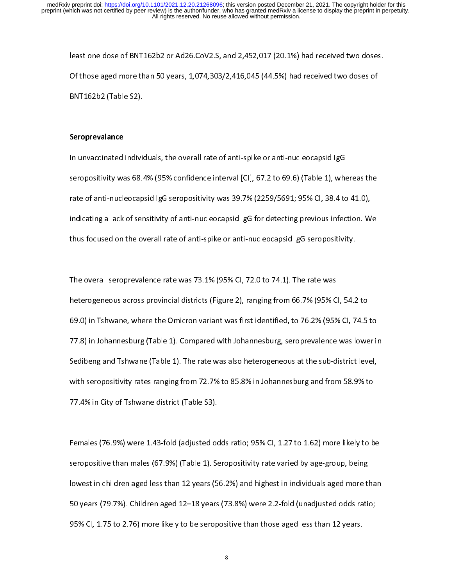Of those aged more than 50 years, 1,074,303/2,416,045 (44.5%) had received two doses of<br>BNT162b2 (Table S2). Of the system and 50 years, 1,074,303,416,414,303,416,416,416,416,416,416,416,416<br>BNT162b2 (Table S2).<br>Seroprevalance

## Seroprevalance

BRATHLE (Table S2).<br>**Seroprevalance**<br>In unvaccinated individ  $\frac{4}{3}$ In uncercopositivity was 68.4% (95% confidence interval [CI], 67.2 to 69.6) (Table 1), whe<br>Indicatination anti-nucleocapsid IgG seropositivity was 39.7% (2259/5691; 95% CI, 38.4 to<br>Indicating a lack of sensitivity of antiserved in the mate of anti-nucleocapsid IgG seropositivity was 39.7% (2259/5691; 95% CI, 38.4 to 41.0),<br>indicating a lack of sensitivity of anti-nucleocapsid IgG for detecting previous infection. We<br>thus focused on the ove indicating a lack of sensitivity of anti-nucleocapsid IgG for detecting previous infection. W<br>thus focused on the overall rate of anti-spike or anti-nucleocapsid IgG seropositivity. indicating a lack of extensivity of anti-nucleocapsid igger and constant infection.<br>thus focused on the overall rate of anti-spike or anti-nucleocapsid IgG seropositivity.<br>The overall seroprevalence rate was 73.1% (95% Cl,

the overall seroprevalence rate was 73.1% (95% Cl, 72.0 to 74.1). The rate was<br>heterogeneous across provincial districts (Figure 2), ranging from 66.7% (95% Cl, 54.2  $\frac{1}{2}$ heterogeneous across provincial districts (Figure 2), ranging from 66.7% (95% C<br>69.0) in Tshwane, where the Omicron variant was first identified, to 76.2% (95%<br>77.8) in Johannesburg (Table 1). Compared with Johannesburg, s heterogeneous across provincial accross (Figure 2), ranging from 604.2% (95% CI, 74.5<br>69.0) in Tshwane, where the Omicron variant was first identified, to 76.2% (95% CI, 74.5<br>77.8) in Johannesburg (Table 1). Compared with 1998.) in Johannesburg (Table 1). Compared with Johannesburg, seroprevalence was lower in<br>Sedibeng and Tshwane (Table 1). The rate was also heterogeneous at the sub-district level,<br>with seropositivity rates ranging from 72 Sedibeng and Tshwane (Table 1). The rate was also heterogeneous at the sub-district level,<br>with seropositivity rates ranging from 72.7% to 85.8% in Johannesburg and from 58.9% to<br>77.4% in City of Tshwane district (Table S3 Sending and Trinidate (Table 2). The rate was also hereing at the sub-district level,<br>with seropositivity rates ranging from 72.7% to 85.8% in Johannesburg and from 58.9% to<br>77.4% in City of Tshwane district (Table S3). with serves on the Seroposition of the S3.<br>77.4% in City of Tshwane district (Table S3).<br>Females (76.9%) were 1.43-fold (adjusted odds ratio; 95% Cl, 1.27 to 1.62) more likely to b

77.4% in City of Tshwane district (Table S3).<br>Females (76.9%) were 1.43-fold (adjusted odds ratio; 95% CI, 1.27 to 1.62) more likely to be<br>seropositive than males (67.9%) (Table 1). Seropositivity rate varied by age-group,  $\frac{1}{2}$ lowest in children aged less than 12 years (56.2%) and highest in individuals aged more than<br>50 years (79.7%). Children aged 12–18 years (73.8%) were 2.2-fold (unadjusted odds ratio; served to the lowest in children aged less than 12 years (56.2%) and highest in individuals aged more than 10 years (73.8%) were 2.2-fold (unadjusted odds rationally 1). Served 12–18 years (73.8%) were 2.2-fold (unadjusted lower in children aged 12–18 years (73.8%) were 2.2-fold (unadjusted odds ratio;<br>95% CI, 1.75 to 2.76) more likely to be seropositive than those aged less than 12 years.<br>8  $50\%$  Cl, 1.75 to 2.76) more likely to be seropositive than those aged less than 12 years. 95% CI, 1.75 to 2.76) more likely to be seropositive than those aged less than 12 years.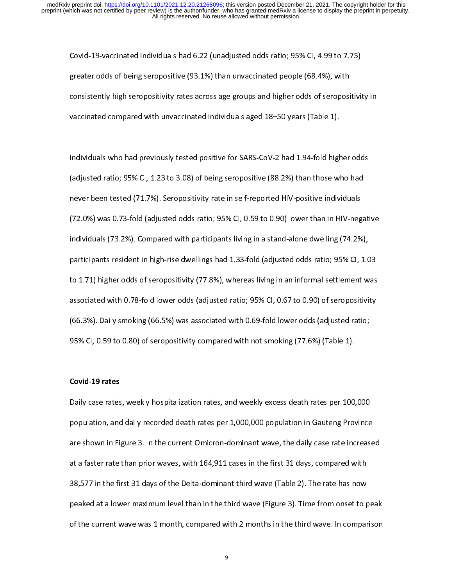ereater odds of being seropositive (93.1%) than unvaccinated people (68.4%), with<br>consistently high seropositivity rates across age groups and higher odds of seropositivic<br>vaccinated compared with unvaccinated individuals greater onder orang one permane (1931), manufacturated people (1943), with<br>consistently high seropositivity rates across age groups and higher odds of seroposi<br>vaccinated compared with unvaccinated individuals aged 18–50 y consistently high serve premier, there across age groups and higher order of seropositivity in<br>vaccinated compared with unvaccinated individuals aged 18–50 years (Table 1).<br>Individuals who had previously tested positive fo

vacancies compared with an accident matrice individuals  $\frac{1}{2}$ .<br>Individuals who had previously tested positive for SARS-CoV-2 had 1.94-fold high<br>(adjusted ratio; 95% Cl, 1.23 to 3.08) of being seropositive (88.2%) than  $\frac{1}{3}$ Individuals (adjusted ratio; 95% Cl, 1.23 to 3.08) of being seropositive (88.2%) than those who had prever been tested (71.7%). Seropositivity rate in self-reported HIV-positive individuals<br>(72.0%) was 0.73-fold (adjusted (adjusted ratio; 95% CI, 0.59 to 0.90) lower than in HIV-negregore been tested (71.7%). Seropositivity rate in self-reported HIV-positive individuals<br>(72.0%) was 0.73-fold (adjusted odds ratio; 95% CI, 0.59 to 0.90) lower never 13.0%) was 0.73-fold (adjusted odds ratio; 95% CI, 0.59 to 0.90) lower than in HIV-neg<br>individuals (73.2%). Compared with participants living in a stand-alone dwelling (74.2%<br>participants resident in high-rise dwelli (12.11) was one of the participate odds ratio; 9500 to 0.73.1%) and individuals (73.2%).<br>Individuals (73.2%). Compared with participants living in a stand-alone dwelling (74.2%),<br>participants resident in high-rise dwelling participants resident in high-rise dwellings had 1.33-fold (adjusted odds ratio; 95% Cl, 1.0<br>to 1.71) higher odds of seropositivity (77.8%), whereas living in an informal settlement w<br>associated with 0.78-fold lower odds ( participants resident in this resident in this resident was<br>to 1.71) higher odds of seropositivity (77.8%), whereas living in an informal settlement was<br>associated with 0.78-fold lower odds (adjusted ratio; 95% CI, 0.67 to associated with 0.78-fold lower odds (adjusted ratio; 95% CI, 0.67 to 0.90) of seropositivity<br>(66.3%). Daily smoking (66.5%) was associated with 0.69-fold lower odds (adjusted ratio;<br>95% CI, 0.59 to 0.80) of seropositivity associated with the term of the same (adjusted ratio) of the 1990 of the 1990 of Seropositivity compared with 0.69-fold lower odds (adjusted ratio; 95% CI, 0.59 to 0.80) of seropositivity compared with not smoking (77.6%) (66.1.1). Daily smoking (66.6.1). The accounted with lot change into case (adjusted ratio;<br>95% CI, 0.59 to 0.80) of seropositivity compared with not smoking (77.6%) (Table 1).<br>Covid-19 rates

### Covid-19 rates

95% Ci, 195 to 0.59 to 0.959 to 0.959 to 0.959 to 0.800, the compared with not smoking (77.6%) (Table 2).<br>Daily case rates, weekly hospitalization rates, and weekly excess death rates per 100, י<br>|<br>|} Daily case rates, weekly hospitalization rates, and weekly excess death rates per 100,000 population, and daily recorded death rates per 1,000,000 population in Gauteng Province are shown in Figure 3. In the current Omicro at a faster rate than prior waves, with 164,911 cases in the first 31 days, compared with<br>38,577 in the first 31 days of the Delta-dominant third wave (Table 2). The rate has now<br>peaked at a lower maximum level than in the are shown in Figure 3. In the current Current Current India, the first 31 days, compared with<br>at a faster rate than prior waves, with 164,911 cases in the first 31 days, compared with<br>38,577 in the first 31 days of the Del 38,577 in the first 31 days of the Delta-dominant third wave (Table 2). The rate has now<br>peaked at a lower maximum level than in the third wave (Figure 3). Time from onset to p<br>of the current wave was 1 month, compared wi 38, 578,579 peaked at a lower maximum level than in the third wave (Figure 3). Time from onset to p<br>of the current wave was 1 month, compared with 2 months in the third wave. In compar<br>9 of the current wave was 1 month, compared with 2 months in the third wave. In comparison<br> $\frac{1}{9}$ of the current wave was 1 month, compared with 2 months in the third wave. In comparison

9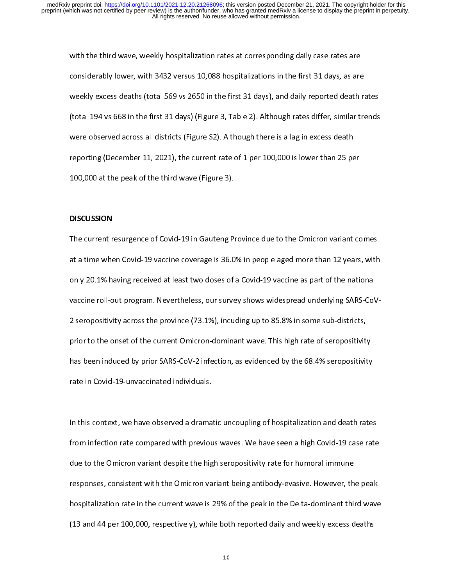considerably lower, with 3432 versus 10,088 hospitalizations in the first 31 days, as are<br>weekly excess deaths (total 569 vs 2650 in the first 31 days), and daily reported death<br>(total 194 vs 668 in the first 31 days) (Fig considerably excess deaths (total 569 vs 2650 in the first 31 days), and daily reported death rate (total 194 vs 668 in the first 31 days) (Figure 3, Table 2). Although rates differ, similar trequency were observed across (total 194 vs 668 in the first 31 days) (Figure 3, Table 2). Although rates differ, similar trends<br>were observed across all districts (Figure S2). Although there is a lag in excess death<br>reporting (December 11, 2021), the (term in the first 194 manufacture 194, c), the first 2). Although there is a lag in excess death<br>reporting (December 11, 2021), the current rate of 1 per 100,000 is lower than 25 per<br>100,000 at the peak of the third wave reporting (December 11, 2021), the current rate of 1 per 100,000 is lower than 25 pe<br>100,000 at the peak of the third wave (Figure 3). reporting (December 11, 2021), the current rate of the third wave (Figure 3), the current rate of the third wave (Figure 3),  $\blacksquare$ 

#### DISCUSSION

100,000 at the peak of the third wave (Figure 3).<br>DISCUSSION<br>The current resurgence of Covid-19 in Gauteng Province due to the Omicron variant comes<br>at a time when Covid-19 vaccine coverage is 36.0% in people aged more tha  $\frac{1}{2}$ at a time when Covid-19 vaccine coverage is 36.0% in people aged more than 12 years, with<br>only 20.1% having received at least two doses of a Covid-19 vaccine as part of the national<br>vaccine roll-out program. Nevertheless, anly 20.1% having received at least two doses of a Covid-19 vaccine as part of the national<br>vaccine roll-out program. Nevertheless, our survey shows widespread underlying SARS-CoV-<br>2 seropositivity across the province (73. only accine roll-out program. Nevertheless, our survey shows widespread underlying SARS-CoV<br>2 seropositivity across the province (73.1%), incuding up to 85.8% in some sub-districts,<br>prior to the onset of the current Omicro 2 seropositivity across the province (13.1%), incurring up to 83.4% in some sub-districts),<br>prior to the onset of the current Omicron-dominant wave. This high rate of seropositivit<br>has been induced by prior SARS-CoV-2 infe prior to the onset of the current Christian Latinum Christian ingurant Order persist,<br>has been induced by prior SARS-CoV-2 infection, as evidenced by the 68.4% seropositivity<br>rate in Covid-19-unvaccinated individuals. has been induced by prior SARS-Cover-2 interesting as evidenced by the 68.4% produced by priority.<br>Frate in Covid-19-unvaccinated individuals.<br>In this context, we have observed a dramatic uncoupling of hospitalization and

In this context, we have observed a drama<br>from infection rate compared with previou  $\frac{1}{6}$ In the Units of the Units of the Section infection rate compared with previous waves. We have seen a high Covid-19 case rate<br>due to the Omicron variant despite the high seropositivity rate for humoral immune<br>responses, con from infection rate compared with previous waves consumed a might covid-19 case.<br>The due to the Omicron variant despite the high seropositivity rate for humoral immune<br>responses, consistent with the Omicron variant being a responses, consistent with the Omicron variant being antibody-evasive. However, th<br>hospitalization rate in the current wave is 29% of the peak in the Delta-dominant thii<br>(13 and 44 per 100,000, respectively), while both re responsible 2014.<br>
responsible positive to the operation rate in the current wave is 29% of the peak in the Delta-dominant third wave<br>
(13 and 44 per 100,000, respectively), while both reported daily and weekly excess deat (13 and 44 per 100,000, respectively), while both reported daily and weekly excess deaths<br>
10 (13 and 44 per 100,000, respectively), while both reported daily and weekly excess deaths

10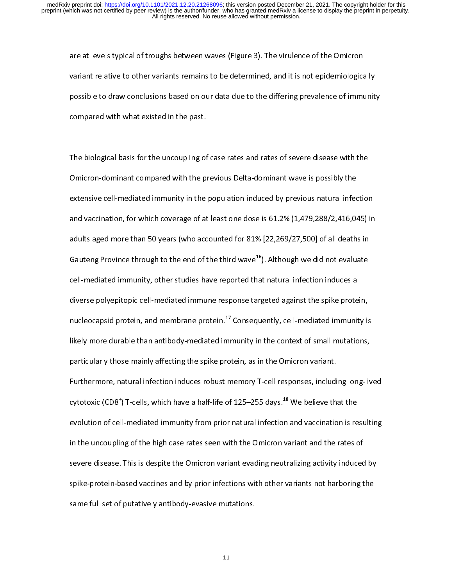variant relative to other variants remains to be determined, and it is not epidemiological<br>possible to draw conclusions based on our data due to the differing prevalence of immu<br>compared with what existed in the past. variant relative to other variants remains to be determined, and it is not epidemiologically<br>possible to draw conclusions based on our data due to the differing prevalence of immunit<br>compared with what existed in the past. possible to anniversive to draw conclusions based on our data due to the differing prevalence of immunity,<br>compared with what existed in the past.<br>The biological basis for the uncoupling of case rates and rates of severe d

compared with with anti-compared with the past.<br>The biological basis for the uncoupling of<br>Omicron-dominant compared with the pi  $\frac{1}{\epsilon}$ Omicron-dominant compared with the previous Delta-dominant wave is possibly the<br>extensive cell-mediated immunity in the population induced by previous natural infection<br>and vaccination, for which coverage of at least one d extensive cell-mediated immunity in the population induced by previous natural infection<br>and vaccination, for which coverage of at least one dose is 61.2% (1,479,288/2,416,04<br>adults aged more than 50 years (who accounted f and vaccination, for which coverage of at least one dose is 61.2% (1,479,288/2,416,045) in<br>adults aged more than 50 years (who accounted for 81% [22,269/27,500] of all deaths in<br>Gauteng Province through to the end of the and recements, for which coverage or a relation coverage of at  $(2, 1, 1, 1, 1, 1, 1, 1, 1)$  in<br>adults aged more than 50 years (who accounted for 81% [22,269/27,500] of all deaths in<br>Gauteng Province through to the end of Gauteng Province through to the end of the third wave  $^{16}$ ). Although we did not evaluate<br>cell-mediated immunity, other studies have reported that natural infection induces a<br>diverse polyepitopic cell-mediated immune re Gauteng Province through to the end of the third wave<sup>20</sup>). Although we did not evaluate<br>cell-mediated immunity, other studies have reported that natural infection induces a<br>diverse polyepitopic cell-mediated immune respon diverse polyepitopic cell-mediated immune response targeted against the spike prote<br>nucleocapsid protein, and membrane protein.<sup>17</sup> Consequently, cell-mediated immunit<br>likely more durable than antibody-mediated immunity in an actor program in an anti-matrix and the superior targeted against the spine protein,<br>nucleocapsid protein, and membrane protein.<sup>17</sup> Consequently, cell-mediated immunity is<br>likely more durable than antibody-mediated imm nucleocapsid protein, and membrane protein.<sup>47</sup> Consequently, cell-mediated immunity is<br>likely more durable than antibody-mediated immunity in the context of small mutations,<br>particularly those mainly affecting the spike p more durable than anti-organization immunity in the content of small mutations,<br>particularly those mainly affecting the spike protein, as in the Omicron variant.<br>Furthermore, natural infection induces robust memory T-cell particularly these mainly affecting the spine protein, as in the SMARTA Tanant.<br>Furthermore, natural infection induces robust memory T-cell responses, includi<br>cytotoxic (CD8<sup>+</sup>) T-cells, which have a half-life of 125–255 d Europosic (CD8<sup>+</sup>) T-cells, which have a half-life of 125–255 days.<sup>18</sup> We believe that the<br>evolution of cell-mediated immunity from prior natural infection and vaccination is resulting<br>in the uncoupling of the high case cytotoxic (CD8<br>evolution of cel<br>in the uncouplin<br>severe disease. ) T-cells, which have a half-life of 125–255 days.<sup>18</sup> We believe that the l-mediated immunity from prior natural infection and vaccination is re<br>ng of the high case rates seen with the Omicron variant and the rates of<br>Thi in the uncoupling of the high case rates seen with the Omicron variant and the rates of<br>severe disease. This is despite the Omicron variant evading neutralizing activity induced by<br>spike-protein-based vaccines and by prior severe disease. This is despite the Omicron variant evading neutralizing activity induced<br>spike-protein-based vaccines and by prior infections with other variants not harboring t<br>same full set of putatively antibody-evasiv spike-protein-based vaccines and by prior infections with other variants not harboring the<br>same full set of putatively antibody-evasive mutations. same full set of putatively antibody-evasive mutations.<br>
same full set of putatively antibody-evasive mutations.<br>
11 same full set of putatively antibody-evasive mutations.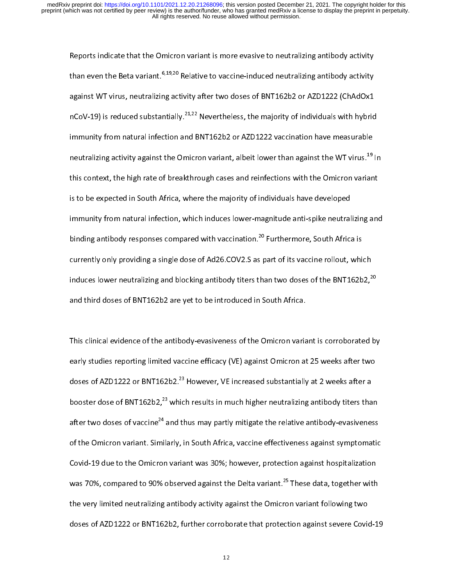Reports indicate that the Omicron variant is more evasive to neutralizing antibody activity<br>than even the Beta variant.<sup>6,19,20</sup> Relative to vaccine-induced neutralizing antibody activity<br>against WT virus, neutralizing ac than even the Beta variant.<sup>9,19,20</sup> Relative to vaccine-induced neutralizing antibody activity<br>against WT virus, neutralizing activity after two doses of BNT162b2 or AZD1222 (ChAdOx1<br>nCoV-19) is reduced substantially.<sup>21,</sup> against WT virus, neutralians extra) are three actors of throughout throughout.<br>nCoV-19) is reduced substantially.<sup>21,22</sup> Nevertheless, the majority of individuals with hybrid<br>immunity from natural infection and BNT162b2 o nCoV-19) is reduced substantially.<sup>21,22</sup> Nevertheless, the majority of individuals with hybrid<br>immunity from natural infection and BNT162b2 or AZD1222 vaccination have measurable<br>neutralizing activity against the Omicron neutralizing activity against the Omicron variant, albeit lower than against the WT virus.<sup>19</sup> In<br>this context, the high rate of breakthrough cases and reinfections with the Omicron variant<br>is to be expected in South Afric neutralizing activity against the Omicron variant, albeit lower than against the WT virus.<sup>49</sup> In<br>this context, the high rate of breakthrough cases and reinfections with the Omicron variant<br>is to be expected in South Afric is to be expected in South Africa, where the majority of individuals have developed<br>immunity from natural infection, which induces lower-magnitude anti-spike neutralizing and<br>binding antibody responses compared with vacci immunity from natural infection, which induces lower-magnitude anti-spike neutral<br>binding antibody responses compared with vaccination.<sup>20</sup> Furthermore, South Africa<br>currently only providing a single dose of Ad26.COV2.S as binding antibody responses compared with vaccination.<sup>20</sup> Furthermore, South Africa is<br>currently only providing a single dose of Ad26.COV2.S as part of its vaccine rollout, which<br>induces lower neutralizing and blocking ant binding antibody responses compared with vaccination.<sup>20</sup> Furthermore, South Africa is<br>currently only providing a single dose of Ad26.COV2.S as part of its vaccine rollout, whic<br>induces lower neutralizing and blocking anti currently only providing a single dose of Ad26.COV2.S as part of its vaccine rollout, which<br>induces lower neutralizing and blocking antibody titers than two doses of the BNT162b2,<sup>20</sup><br>and third doses of BNT162b2 are yet to induces lower neutralizing and blocking antibody titers than two doses of the BNT162b2,<sup>20</sup><br>and third doses of BNT162b2 are yet to be introduced in South Africa.<br>This clinical evidence of the antibody-evasiveness of the Om

This clinical evidence of the antibody-evasiveness of the Omicron variant is corroborated by<br>early studies reporting limited vaccine efficacy (VE) against Omicron at 25 weeks after two<br>doses of AZD1222 or BNT162b2.<sup>23</sup> How  $\frac{1}{3}$ This clinical evidence of the antibody-evaluation of the Christman is consistent as a<br>early studies reporting limited vaccine efficacy (VE) against Omicron at 25 weeks after two<br>doses of AZD1222 or BNT162b2.<sup>23</sup> However, V doses of AZD1222 or BNT162b2.<sup>23</sup> However, VE increased substantially at 2 weeks after a<br>booster dose of BNT162b2,<sup>23</sup> which results in much higher neutralizing antibody titers than<br>after two doses of vaccine<sup>24</sup> and thus doses of AZD1222 or BNT162b2.<sup>23</sup> However, VE increased substantially at 2 weeks after a<br>booster dose of BNT162b2,<sup>23</sup> which results in much higher neutralizing antibody titers tha<br>after two doses of vaccine<sup>24</sup> and thus m after two doses of vaccine<sup>24</sup> and thus may partly mitigate the relative antibody-evasiveness<br>of the Omicron variant. Similarly, in South Africa, vaccine effectiveness against symptomatic<br>Covid-19 due to the Omicron varian after two doses of vaccine<sup>44</sup> and thus may partly mitigate the relative antibody-evasiveness<br>of the Omicron variant. Similarly, in South Africa, vaccine effectiveness against symptomatic<br>Covid-19 due to the Omicron varian Covid-19 due to the Omicron variant was 30%; however, protection against hospitalization<br>was 70%, compared to 90% observed against the Delta variant.<sup>25</sup> These data, together with<br>the very limited neutralizing antibody act Was 70%, compared to 90% observed against the Delta variant.<sup>25</sup> These data, together with<br>the very limited neutralizing antibody activity against the Omicron variant following two<br>doses of AZD1222 or BNT162b2, further cor was 70%, compared to 90% observed against the Delta variant.<sup>25</sup> These data, together with<br>the very limited neutralizing antibody activity against the Omicron variant following two<br>doses of AZD1222 or BNT162b2, further cor the very limited neutralizing antibody against the Omicron variant forming the<br>doses of AZD1222 or BNT162b2, further corroborate that protection against severe Covid<br>12  $d_1$ 22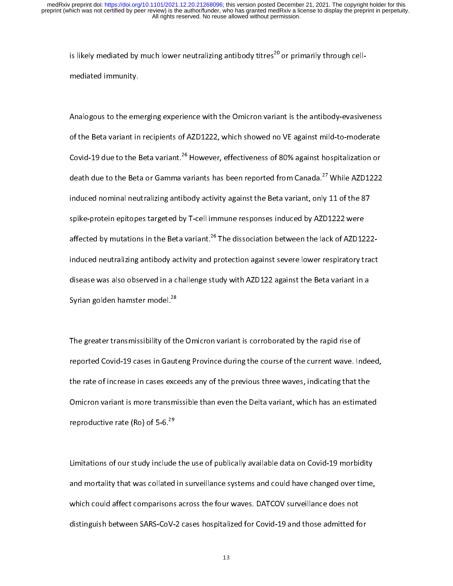is likely mediated by much lower neutralizing antibody titres<sup>20</sup> or primarily through cell-<br>mediated immunity.<br>Analogous to the emerging experience with the Omicron variant is the antibody-evasive

mediated immunity.<br>Analogous to the emi<br>of the Beta variant in  $\frac{1}{2}$ Analogous to the emerging experience with the emergine meaning of the Beta variant in recipients of AZD1222, which showed no VE against mild-to-moderate<br>Covid-19 due to the Beta variant.<sup>26</sup> However, effectiveness of 80% a Covid-19 due to the Beta variant.<sup>26</sup> However, effectiveness of 80% against hospitalization or<br>death due to the Beta or Gamma variants has been reported from Canada.<sup>27</sup> While AZD1222<br>induced nominal neutralizing antibody Covid-19 due to the Beta variant.<sup>20</sup> However, effectiveness of 80% against hospitalization or<br>death due to the Beta or Gamma variants has been reported from Canada.<sup>27</sup> While AZD1222<br>induced nominal neutralizing antibody death due to the Beta or Gamma variants has been reported from Canada.<sup>27</sup> While AZD1222<br>induced nominal neutralizing antibody activity against the Beta variant, only 11 of the 87<br>spike-protein epitopes targeted by T-cell spike-protein epitopes targeted by T-cell immune responses induced by AZD1222 were<br>affected by mutations in the Beta variant.<sup>26</sup> The dissociation between the lack of AZD122:<br>induced neutralizing antibody activity and prot affected by mutations in the Beta variant.<sup>26</sup> The dissociation between the lack of AZD12<br>induced neutralizing antibody activity and protection against severe lower respiratory to<br>disease was also observed in a challenge affected by mutations in the Beta variant.<sup>2</sup> The dissociation between the lack of AZD1222-<br>induced neutralizing antibody activity and protection against severe lower respiratory tract<br>disease was also observed in a challe disease was also observed in a challenge study with AZD122 against the Beta variant in a<br>Syrian golden hamster model.<sup>28</sup> discribes of the Syrian golden hamster model.<sup>28</sup><br>The greater transmissibility of the Omicron variant is corroborated by the rapid rise of

Syrian golden hamster model.<sup>28</sup><br>The greater transmissibility of th<br>reported Covid-19 cases in Gaut  $\frac{1}{t}$ The greater transmission, the contract transmission of the Course of the current wave. In the rate of increase in cases exceeds any of the previous three waves, indicating that the rate of increase in cases exceeds any of the rate of increase in cases exceeds any of the previous three waves, indicating that the<br>Omicron variant is more transmissible than even the Delta variant, which has an estimated<br>reproductive rate (Ro) of 5-6.<sup>29</sup> Omicron variant is more transmissible than even the Delta variant, which has an estimate<br>reproductive rate (Ro) of 5-6.<sup>29</sup><br>Alternative that the productive rate (Ro) of 5-6.<sup>29</sup> Omicron variant is more transmissible than even the Delta variant, which has an estimated<br>reproductive rate (Ro) of 5-6.<sup>29</sup><br>Limitations of our study include the use of publically available data on Covid-19 morbidity<br>and m

reproductive rate (Ro) of 5-6.<sup>29</sup><br>Limitations of our study include<br>and mortality that was collated |<br>|<br>| and mortality that was collated in surveillance systems and could have changed over time,<br>which could affect comparisons across the four waves. DATCOV surveillance does not<br>distinguish between SARS-CoV-2 cases hospitalized which could affect comparisons across the four waves. DATCOV surveillance does not<br>distinguish between SARS-CoV-2 cases hospitalized for Covid-19 and those admitted for<br> $^{13}$ which could affect comparisons across the four waves. Data can consider the four distinguish between SARS-CoV-2 cases hospitalized for Covid-19 and those admitted for  $\frac{13}{13}$ distinguish between  $\frac{1}{3}$  cases hospitalized for  $\frac{1}{2}$  and those admitted for  $\frac{1}{2}$  and those admitted for  $\frac{1}{2}$  and those admitted for  $\frac{1}{2}$  and those admitted for  $\frac{1}{2}$  and those admitted for  $\frac$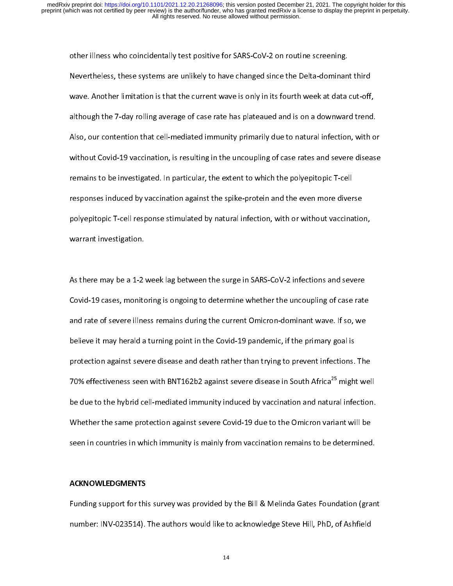other indexs, these systems are unlikely to have changed since the Delta-dominan<br>wave. Another limitation is that the current wave is only in its fourth week at data<br>although the 7-day rolling average of case rate has plat Nevertheless, intersperime are unline, sessing systems and the Delta-dominant and<br>wave. Another limitation is that the current wave is only in its fourth week at data cut-off,<br>although the 7-day rolling average of case rat wave. Another inherator is that the current wave is engaged and is on a downward trend.<br>although the 7-day rolling average of case rate has plateaued and is on a downward trend.<br>Also, our contention that cell-mediated immu also, our contention that cell-mediated immunity primarily due to natural infection, with or<br>without Covid-19 vaccination, is resulting in the uncoupling of case rates and severe disease<br>remains to be investigated. In part Also, our contention that cell-mediated immunity primarily due to natural infection, that content<br>without Covid-19 vaccination, is resulting in the uncoupling of case rates and severe disease<br>remains to be investigated. In remains to be investigated. In particular, the extent to which the polyepitopic T-cell<br>responses induced by vaccination against the spike-protein and the even more diverse<br>polyepitopic T-cell response stimulated by natural remains to be investigated. In particular, the extent to which the polyepitopic T-cell<br>responses induced by vaccination against the spike-protein and the even more diverse<br>polyepitopic T-cell response stimulated by natural responses in the spike-provide provide polyepitopic T-cell response stimulated by natural infection, with or without vaccination warrant investigation. polyepitopic T-cell reports stimulated by natural infection, namely distributed by a<br>warrant investigation.<br>As there may be a 1-2 week lag between the surge in SARS-CoV-2 infections and severe

As there may be a 1-2  $\cdot$ <br>Covid-19 cases, monito  $\frac{1}{2}$ Covid-19 cases, monitoring is ongoing to determine whether the uncoupling of case rate<br>and rate of severe illness remains during the current Omicron-dominant wave. If so, we<br>believe it may herald a turning point in the Cov and rate of severe illness remains during the current Omicron-dominant wave. If so, we<br>believe it may herald a turning point in the Covid-19 pandemic, if the primary goal is<br>protection against severe disease and death rath believe it may herald a turning point in the Covid-19 pandemic, if the primary goal is<br>protection against severe disease and death rather than trying to prevent infections. The<br>70% effectiveness seen with BNT162b2 against protection against severe disease and death rather than trying to prevent infections.<br>70% effectiveness seen with BNT162b2 against severe disease in South Africa<sup>25</sup> might<br>be due to the hybrid cell-mediated immunity induce protection against severe disease and and a protection than trying to prevent interest the<br>70% effectiveness seen with BNT162b2 against severe disease in South Africa<sup>25</sup> might wel<br>be due to the hybrid cell-mediated immuni 70% effectiveness seen with BNT162b2 against severe disease in South Africa<sup>25</sup> might well<br>be due to the hybrid cell-mediated immunity induced by vaccination and natural infection.<br>Whether the same protection against sever be due to the hybrid cell-mediated immunity induced by vaccination and natural infection.<br>Whether the same protection against severe Covid-19 due to the Omicron variant will be<br>seen in countries in which immunity is mainly Whether the same protection against severe Covid-19 due to the Omicron variant will be

#### ACKNOWLEDGMENTS

Funding support for this survey was provided by the Bill & Melinda Gates Foundation (grant<br>number: INV-023514). The authors would like to acknowledge Steve Hill, PhD, of Ashfield ,<br>|<br>| Funding support for this survey that provided by the Bill Elmandina Gates Foundation (grant<br>number: INV-023514). The authors would like to acknowledge Steve Hill, PhD, of Ashfield<br>14  $n = \frac{1}{2}$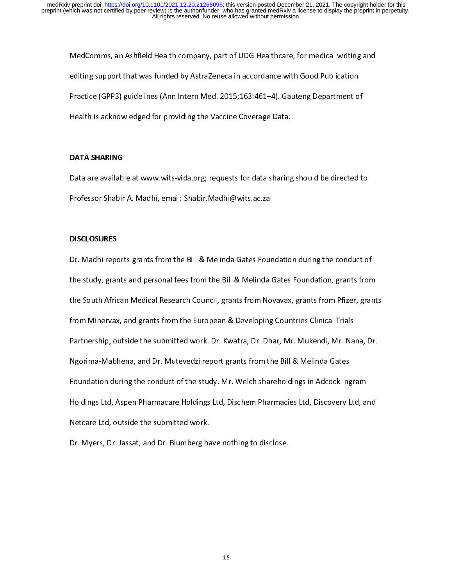Mediting support that was funded by AstraZeneca in accordance with Good Publication<br>Practice (GPP3) guidelines (Ann Intern Med. 2015;163:461–4). Gauteng Department of<br>Health is acknowledged for providing the Vaccine Covera enting support that that cannoticly submissional accordance with Good Publication<br>Practice (GPP3) guidelines (Ann Intern Med. 2015;163:461–4). Gauteng Department o<br>Health is acknowledged for providing the Vaccine Coverage Practice (GPP3) guidelines (Ann Intern Medicies 2015). Generally a spanning of the Health is acknowledged for providing the Vaccine Coverage Data.<br>DATA SHARING

# DATA SHARING

Health is actual theoged for providing the Vaction Corency Patric<br>DATA SHARING<br>Data are available at www.wits-vida.org; requests for data sharing ן<br>|<br>| Professor Shabir A. Madhi, email: Shabir.Madhi@wits.ac.za<br>DISCLOSURES

# DISCLOSURES

professor Shabir A. Madhi, episclosures<br>Pr. Madhi reports grants from the Bill & Melinda Gates Four |<br>|<br>| Dr. Madhi reports grants from the Bill & Melinda Gates Foundation during the conduct of<br>the study, grants and personal fees from the Bill & Melinda Gates Foundation, grants from<br>the South African Medical Research Council, the South African Medical Research Council, grants from Novavax, grants from Pfizer, grant<br>from Minervax, and grants from the European & Developing Countries Clinical Trials<br>Partnership, outside the submitted work. Dr. Kwa the South African Medical African South African African African Medical Trials<br>from Minervax, and grants from the European & Developing Countries Clinical Trials<br>Partnership, outside the submitted work. Dr. Kwatra, Dr. Dha From Minervax, and grade treat the European & Developing Countries European Miner<br>Partnership, outside the submitted work. Dr. Kwatra, Dr. Dhar, Mr. Mukendi, Mr. Nat<br>Ngorima-Mabhena, and Dr. Mutevedzi report grants from th Partnership, outside the submitted work. Dr. Antibary, 2012 Partner, Mr. Muhamma, Mr. Nama, 2013<br>Ngorima-Mabhena, and Dr. Mutevedzi report grants from the Bill & Melinda Gates<br>Foundation during the conduct of the study. Mr Ngorima-Mabhena, and Dr. Mutevedzi report grants from the Bill & Melinda Gates<br>Foundation during the conduct of the study. Mr. Welch shareholdings in Adcock Ingram<br>Holdings Ltd, Aspen Pharmacare Holdings Ltd, Dischem Pharm Foldings Ltd, Aspen Pharmacare Holdings Ltd, Dischem Pharmacies Ltd, Discovery Ltd, an<br>Netcare Ltd, outside the submitted work.<br>Dr. Myers, Dr. Jassat, and Dr. Blumberg have nothing to disclose. Netcare Ltd, outside the submitted work.<br>Dr. Myers, Dr. Jassat, and Dr. Blumberg have nothing to disclose.

Dr. Myers, Dr. Jassat, and Dr. Blumberg have nothing to disclose. Dr. Myers, Dr. Jassat, and Dr. Blumberg have nothing to disclose.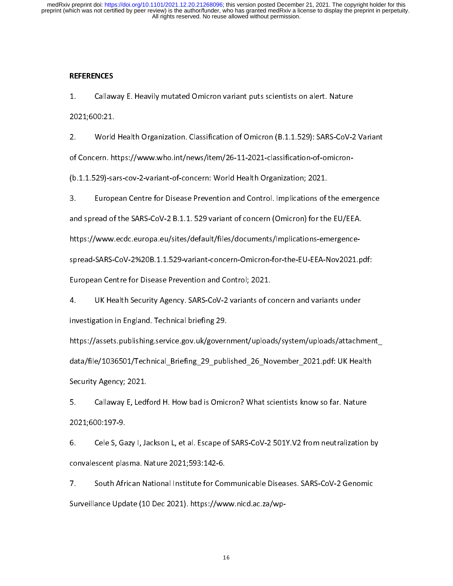## **REFERENCES**

 $\begin{bmatrix} 1 \\ 2 \end{bmatrix}$ 

1. Callamay E. Heavily mutated Chinam puts science of Mathematical<br>2021;600:21.<br>1. World Health Organization. Classification of Omicron (B.1.1.529): SARS-CoV-2<br>1. Concern. https://www.who.int/news/item/26-11-2021-classific 2. World<br>2. World<br>of Concern. ht<br>(b.1.1.529)-sa 2. World Health Organization of Concern. https://www.who.int/news/item/26-11-2021-classification-of-omicron-<br>(b.1.1.529)-sars-cov-2-variant-of-concern: World Health Organization; 2021.<br>3. European Centre for Disease Preven

of Concern. World Health Organization; 2021.<br>3. European Centre for Disease Prevention and Control. Implications of the emi<br>and spread of the SARS-CoV-2 B.1.1. 529 variant of concern (Omicron) for the EU/EE (b.1.1.1.1.529)<br>The surpress of the Sangle Prevention and Control. Implications of<br>and spread of the SARS-CoV-2 B.1.1.529 variant of concern (Omicron) for the<br>https://www.ecdc.europa.eu/sites/default/files/documents/Implic

3. and spread of the SARS-CoV-2 B.1.1. 529 variant of concern (Omicron) for the EU/EEA.<br>https://www.ecdc.europa.eu/sites/default/files/documents/Implications-emergence-<br>spread-SARS-CoV-2%20B.1.1.529-variant-concern-Omicron https://www.ecdc.europa.eu/sites/default/files/documents/Implications-emergence-<br>spread-SARS-CoV-2%20B.1.1.529-variant-concern-Omicron-for-the-EU-EEA-Nov2021.pdf:<br>European Centre for Disease Prevention and Control; 2021.<br>4

spread-Saran Centre for Disease Prevention and Control; 2021.<br>1. UK Health Security Agency. SARS-CoV-2 variants of concern and variants under<br>investigation in England. Technical briefing 29. 1. UK Health Security Agency. SARS-CoV-2 variants of contrestigation in England. Technical briefing 29.<br>https://assets.publishing.service.gov.uk/government/upload<br>https://assets.publishing.service.gov.uk/government/upload

4. UK Health Security Agency. Same Security Agency. Samulate of concern and variants under<br>investigation in England. Technical briefing 29.<br>https://assets.publishing.service.gov.uk/government/uploads/system/uploads/attachr investigation in England. Technical briefing 29.<br>https://assets.publishing.service.gov.uk/goverr<br>data/file/1036501/Technical\_Briefing\_29\_publ<br>Security Agency; 2021. https://assets.publishing.service.gov.uk/government/uploads/system/uploads/attachment/<br>data/file/1036501/Technical\_Briefing\_29\_published\_26\_November\_2021.pdf: UK Health<br>Security Agency; 2021.<br>5. Callaway E, Ledford H. How

data, the particle process of the control particle process of the control of the control of the control of the<br>5. Callaway E, Ledford H. How bad is Omicron? What scientists know so far. Nature<br>2021:600:197-9. 5. Callaway E, Ledf<br>2021;600:197-9.<br>6. Cele S, Gazy I, Ja

5. Callamany E, Lemania minimization<br>1981;600:197-9.<br>6. Cele S, Gazy I, Jackson L, et al. Escape of SARS-CoV-2 501Y.V2 from neutralization<br>1981;600:197-9.<br>1981;600:197-9.<br>1981;600:197-9. 2021;600:197-9.<br>6. Cele S, Gazy I, Jackson L, et al. Escape of SARS-CoV-2 501Y.V2 from neutralization by<br>convalescent plasma. Nature 2021;593:142-6.<br>7. South African National Institute for Communicable Diseases. SARS-CoV-2

6. Central S, Gazy I, Jackson Letter, Gazy II, 2014.<br>19. Central American Linux Control of South African National Institute for Communicable Diseases. SARS-CoV-2 Genomic<br>19. South African National Institute for Communicabl 7. South African National Institute for Cor<br>Surveillance Update (10 Dec 2021). https://ww<br>. %Surveillance Update (10 Dec 2021). https://www.nicd.ac.za/wp-<br>-<br>-<br>16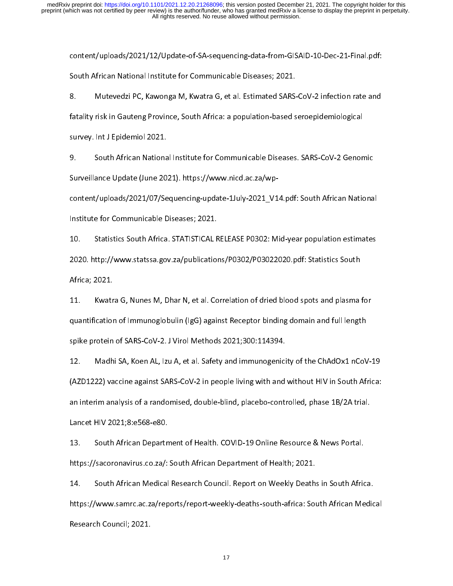couth African National Institute for Communicable Diseases; 2021.<br>8. Mutevedzi PC, Kawonga M, Kwatra G, et al. Estimated SARS-CoV-2 infection rate and<br>fatality risk in Gauteng Province, South Africa: a populati South African African African 1918 - Communication Disease, 2021.<br>
S. Mutevedzi PC, Kawonga M, Kwatra G, et al. Estimated SARS.<br>
fatality risk in Gauteng Province, South Africa: a population-based s<br>
survey. Int J Epidemio 8. Muteved Chromonga M, Muteved, Premerimated SAR (2011)<br>Fatality risk in Gauteng Province, South Africa: a population-based seroepidemiological<br>Survey. Int J Epidemiol 2021.<br>9. South African National Institute for Communi

fatality risk in Gauteng Province, South African Dautence, South African National Institute for Communicable Diseases. SARS-CoV-2 Genon-<br>Surveillance Update (June 2021). https://www.nicd.ac.za/wpsurvey. Interagrammer 2022.<br>9. South African Nationa<br>Surveillance Update (June 20<br>content/uploads/2021/07/Se

Surveillance Update (June 2021). https://www.nicd.ac.za/wp-<br>content/uploads/2021/07/Sequencing-update-1July-2021\_V14.pdf: South African Nationa<br>Institute for Communicable Diseases; 2021.

content of the communicable Diseases; 2021.<br>10. Statistics South Africa. STATISTICAL RELEASE P0302: Mid-year population estimates<br>2020. http://www.statssa.gov.za/publications/P0302/P03022020.pdf: Statistics South Institute for Communication Electron, 2021.<br>10. Statistics South Africa. STATISTICAL F<br>2020. http://www.statssa.gov.za/publication<br>Africa; 2021. 10. Statistics South 2020. http://www.statssa.gov.za/publications/P0302/P03022020.pdf: Statistics South<br>Africa; 2021.<br>11. Kwatra G, Nunes M, Dhar N, et al. Correlation of dried blood spots and plasma for

2021.<br>2021. http://www.statssa.gov.za/publications/Poster Series Africa; 2021.<br>2021. http://www.statistication.com/Poster Southern Southern Southern Southern Southern Southern Southern Sout<br>11. http://www.statistics Southe Africa; 2021.<br>11. Kwatra G, Nunes M, Dhar N, et al. Correlation of dried blood spots and plasma for<br>quantification of Immunoglobulin (IgG) against Receptor binding domain and full length<br>spike protein of SARS-CoV-2. 11. Musical G, Nunes M, 2014. C, Nunes M, 2014. Correlation of the United States and plasma for equantification of Immunoglobulin (IgG) against Receptor binding domain and full length<br>spike protein of SARS-CoV-2. J Virol M

spike protein of SARS-CoV-2. J Virol Methods 2021;300:114394.<br>12. Madhi SA, Koen AL, Izu A, et al. Safety and immunogenicity of the ChAdOx1 nCoV<br>(AZD1222) vaccine against SARS-CoV-2 in people living with and without HIV in (AZD1222) vaccine against SARS-CoV-2 in people living with and without HIV in South Africa:<br>an interim analysis of a randomised, double-blind, placebo-controlled, phase 1B/2A trial.<br>Lancet HIV 2021;8:e568-e80. 112. Madahi SA, Koen Al, Izuan, J. Et al. Safety, and land along place, J. Et al. Safety and immunose the Cha<br>(AZD1222) vaccine against SARS-CoV-2 in people living with and without HIV in South Africa:<br>an interim analysis (Azon interim analysis of a randomised, double-blind, placebo-controlled, phase 1B/2A trial.<br>Lancet HIV 2021;8:e568-e80.<br>13. South African Department of Health. COVID-19 Online Resource & News Portal.

an interim analysis of a randomised, double-blind, placebo-controlled, phase 1B/2A trial.<br>Lancet HIV 2021;8:e568-e80.<br>13. South African Department of Health. COVID-19 Online Resource & News Portal.<br>https://sacoronavirus.co South African Department of Health. COVID-19 Online Resource & News Portal.<br>https://sacoronavirus.co.za/: South African Department of Health; 2021.<br>14. South African Medical Research Council. Report on Weekly Deaths in

11. South African Department of Health; 2021.<br>14. South African Medical Research Council. Report on Weekly Deaths in South Afric<br>https://www.samrc.ac.za/reports/report-weekly-deaths-south-africa: South African Me https://www.samrc.ac.za/reports/report-weekly-deaths-south-africa: South African Medical Research Council. Report on Weekly Death:<br>https://www.samrc.ac.za/reports/report-weekly-deaths-south-africa: Sou<br>Research Council; 20 14. https://www.samrc.ac.za/reports/report-weekly-deaths-south-africa: South African Medic<br>Research Council; 2021.<br>17 https://www.samrc.ac.ac.za/report-port/report-week/south-africa: South-africa: South-africa: South African Medical<br>Research Council; 2021. Research Council; 2021.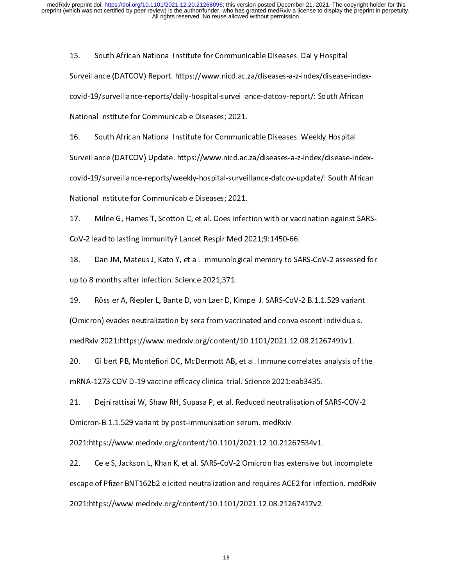$15.$ 15. Surveillance (DATCOV) Report. https://www.nicd.ac.za/diseases-a-z-index/disease<br>covid-19/surveillance-reports/daily-hospital-surveillance-datcov-report/: South Afr<br>National Institute for Communicable Diseases; 2021.

covid-19/surveillance-reports, surry-responses in Carlo Line<br>National Institute for Communicable Diseases; 2021.<br>16. South African National Institute for Communicable Diseases. Weekly Hospital<br>Surveillance (DATCOV) Update. National Institute for Communicational Institute for Communications Surveillance (DATCOV) Update. https://www.nicd.ac.<br>Covid-19/surveillance-reports/weekly-hospital-survei 11. Surveillance (DATCOV) Update. https://www.nicd.ac.za/diseases-a-z-index/disease-in<br>covid-19/surveillance-reports/weekly-hospital-surveillance-datcov-update/: South Af<br>National Institute for Communicable Diseases; 2021.

covid-19/surveillance-reports-reports-reports-reports-reports-reports-reports-<br>19. Surveillance-data: Milne G, Hames T, Scotton C, et al. Does infection with or vaccination against SARS-<br>2007-2 lead to lasting immunity? La 17. Milne G, Hames T, Scotton C, et al. Does infec<br>CoV-2 lead to lasting immunity? Lancet Respir Med 2<br>18. Dan JM, Mateus J, Kato Y, et al. Immunologica

Covert Presseal of Presseal<br>18. Dan JM, Mateus J, Kato Y, et al. Immunological memory to SA<br>19. Rössler A, Riepler L, Bante D, von Laer D, Kimpel J. SARS-CoV-<br>19. Rössler A, Riepler L, Bante D, von Laer D, Kimpel J. SARS-C

18. Up to 8 months after infection. Science 2021;371.<br>19. Dan Rössler A, Riepler L, Bante D, von Laer D, Kimpel J. SARS-CoV-2 B.1.1.529 variant<br>(Omicron) evades neutralization by sera from vaccinated and convalescent indiv up to 8 months after infection. Science 2021;371.<br>19. Rössler A, Riepler L, Bante D, von Laer D, Kimpel J. SARS-CoV-2 B.1.1.529 variant<br>(Omicron) evades neutralization by sera from vaccinated and convalescent individ 19. Rosencer, Riepler L, Bante D, Versler D, Ampelver A, B. P. Leversler Taman.<br>19. Rössler A, Riepler A, Riemann S. Rosencer A, Riemann S. Rosencer, Individuals.<br>19. Rosencer, Montefior, McDermott AB, et al. Immune correl

(Comicron) evades neutralization by sera from vacancination and convaries in manufaction<br>medRxiv 2021:https://www.medrxiv.org/content/10.1101/2021.12.08.21267491v1.<br>20. Gilbert PB, Montefiori DC, McDermott AB, et al. Immun medana escenar<sub>i</sub>cy, medana es<sub>o</sub>, energ<sub>y</sub> energy escenarioneer version.<br>20. Gilbert PB, Montefiori DC, McDermott AB, et al. Immune correlates analysis o<br>mRNA-1273 COVID-19 vaccine efficacy clinical trial. Science 2021:ea

20. Gilbert P, Montefiori D, McDermotte, Communities and provided in the same of the metallic analysis of the<br>21. Gejnirattisai W, Shaw RH, Supasa P, et al. Reduced neutralisation of SARS-COV-2<br>20 Omicron-B.1.1.529 variant 21. Dejnirattisai W, Shaw RH, Supasa P, et al. Reduced neutralisation of<br>Omicron-B.1.1.529 variant by post-immunisation serum. medRxiv<br>2021:https://www.medrxiv.org/content/10.1101/2021.12.10.21267534v1. 21. Definition of the superior of the set al. 84RF and the set al. 84Riv 2021:https://www.medrxiv.org/content/10.1101/2021.12.10.21267534v1.<br>2021:https://www.medrxiv.org/content/10.1101/2021.12.10.21267534v1.<br>22. Cele S, J

2021:https://www.medrxiv.org/content/10.1101/2021.12.10.212<br>22. Cele S, Jackson L, Khan K, et al. SARS-CoV-2 Omicron has ex<br>escape of Pfizer BNT162b2 elicited neutralization and requires ACI 22. Cele S, Jackson L, Khan K, et al. SARS-CoV-2 Omicron has extensive b<br>escape of Pfizer BNT162b2 elicited neutralization and requires ACE2 for infe<br>2021:https://www.medrxiv.org/content/10.1101/2021.12.08.21267417v2. 22. Cele S, Jackson L, Khan K, et al. SARS-CoV-2 Omicron has extensive but incomplete escape of Pizer Bandaria in Pfizer Box 12021<br>12.08.21267417v2.<br>18 2021:https://www.medrxiv.org/content/10.1101/2021.12.08.21267417v2.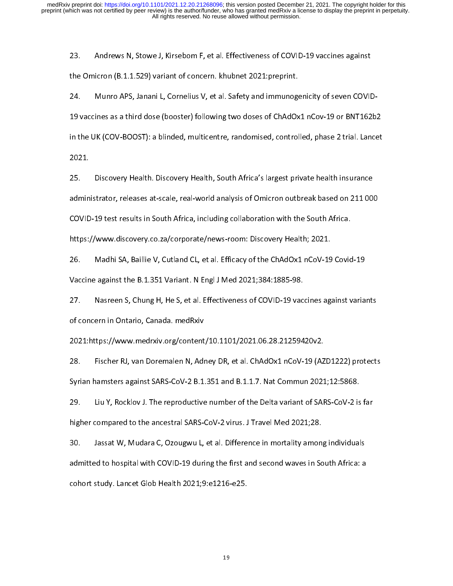23.

23. Andrews Omicron (B.1.1.529) variant of concern. khubnet 2021:preprint.<br>24. Munro APS, Janani L, Cornelius V, et al. Safety and immunogenicity of seven COVID-19 vaccines as a third dose (booster) following two doses of the Omicron (Distance), Canadian Concernsi interacting properties.<br>24. Munro APS, Janani L, Cornelius V, et al. Safety and immunoge<br>19 vaccines as a third dose (booster) following two doses of ChAdOx<br>in the UK (COV-BOOST): 19 vacuus as a third dose (booster) following the actor of ChAdOx1 no ChAdOx1 numbers of ChAdOx1 in the UK (COV-BOOST): a blinded, multicentre, randomised, controlled, phase 2 trial. Lancet<br>2021.<br>25. Discovery Health. Disc

in the UK (COV-BOOST): a blinded, multicentre, randomised, periodicity, phase 2 trial. Lancet<br>2021.<br>administrator, releases at-scale, real-world analysis of Omicron outbreak based on 211 000 25.<br>admin<br>COVID 25. Discovery Health and Ministrator, releases at-scale, real-world analysis of Omicron outbreak based on 211<br>2011 COVID-19 test results in South Africa, including collaboration with the South Africa.<br>https://www.discovery cOVID-19 test results in South Africa, including collaboration with the South Africa.<br>https://www.discovery.co.za/corporate/news-room: Discovery Health; 2021.<br>26. Madhi SA, Baillie V, Cutland CL, et al. Efficacy of the

COVID-19 test results in South Africans, including collaboration with the South Africa<br>https://www.discovery.co.za/corporate/news-room: Discovery Health; 2021.<br>26. Madhi SA, Baillie V, Cutland CL, et al. Efficacy of the Ch https://www.discoverset.com<br>26. Madhi SA, Baillie V, Cutland CL, et al. Efficacy of the ChAdOx1 nCoV-19<br>27. Nasreen S, Chung H, He S, et al. Effectiveness of COVID-19 vaccines ag.

Vaccine against the B.1.351 Variant. N Engl J Med 2021;384:1885-98.<br>27. Nasreen S, Chung H, He S, et al. Effectiveness of COVID-19 vaccines against varia<br>of concern in Ontario, Canada. medRxiv Vaccine against the B.1.351 Vaccine against the S.1.351 Vaccine against the S.1.351 Vaccine against the S.1.351 Vaccine against the S.1.3594<br>1021:https://www.medrxiv.org/content/10.1101/2021.06.28.212594<br>1021:https://www.m 2021:https://www.medrxiv.org/content/10.1101/2021.06.28.21259420v2.<br>28. Fischer RJ, van Doremalen N, Adney DR, et al. ChAdOx1 nCoV-19 (AZD1222) protects

of concern in Ontario, Canada. mediami<br>2021:https://www.medrxiv.org/content<br>28. Fischer RJ, van Doremalen N, Adr<br>Syrian hamsters against SARS-CoV-2 B.1. 2221: Fischer RJ, van Doremalen N, Adney DR, et al. ChAdOx1 nCoV-19 (AZ<br>Syrian hamsters against SARS-CoV-2 B.1.351 and B.1.1.7. Nat Commun 2021<br>29. Liu Y, Rocklov J. The reproductive number of the Delta variant of SAF

28. Fischer RJ, van Doremann N, Adaby J, 2017 of all the team work of the 2021;12:5868.<br>29. Liu Y, Rocklov J. The reproductive number of the Delta variant of SARS-CoV-2 is far<br>higher compared to the ancestral SARS-CoV-2 vi Syrian hamsters against SARS-CoV-2 B.1.351 and B.1.1.7. Nat Commun 2021;12:5868.

20. Liu Y, Rochloot Reproductive number of the Delta Variant of the Delta<br>higher compared to the ancestral SARS-CoV-2 virus. J Travel Med 2021;28.<br>30. Jassat W, Mudara C, Ozougwu L, et al. Difference in mortality among ind do. Jassat W, Mudara C, Ozougwu L, et al. Difference in mortality amon<br>admitted to hospital with COVID-19 during the first and second waves in Sc<br>cohort study. Lancet Glob Health 2021;9:e1216-e25. 30. January 20. January 20. January 20. January 20. January 20. January 20. January 20. January 20. January 20<br>admitted to hospital with COVID-19 during the first and second waves in South Africa: a<br>cohort study. Lancet Gl cohort study. Lancet Glob Health 2021;9:e1216-e25.<br>
and second waves in South Africa: and second waves in South Africa: and second waves in South Africa: and second waves in South Africa: and second waves in South Africa: cohort study. Lancet Glob Health 2021;<br>19:<br>19: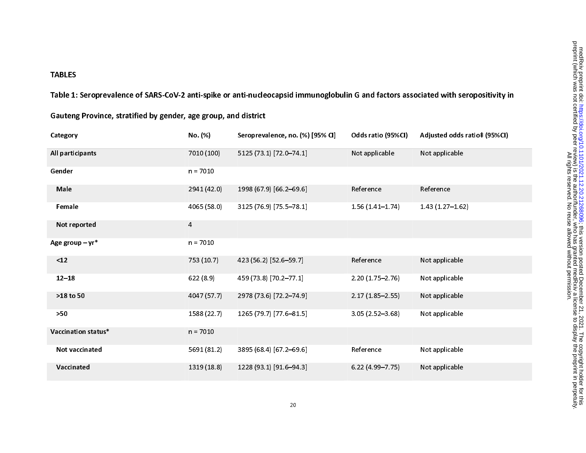## TABLES

Table 1: Seroprevalence of SARS-CoV-2 anti-spike or anti-nucleocapsid immunoglobulin G and factors associated with seropositivity in

| Category            | No. (%)     | Seroprevalence, no. (%) [95% CI] | Odds ratio (95%Cl)  | Adjusted odds ratio‡ (95%Cl) |
|---------------------|-------------|----------------------------------|---------------------|------------------------------|
| All participants    | 7010 (100)  | 5125 (73.1) [72.0-74.1]          | Not applicable      | Not applicable               |
| Gender              | $n = 7010$  |                                  |                     |                              |
| Male                | 2941 (42.0) | 1998 (67.9) [66.2-69.6]          | Reference           | Reference                    |
| Female              | 4065 (58.0) | 3125 (76.9) [75.5-78.1]          | $1.56(1.41-1.74)$   | $1.43(1.27 - 1.62)$          |
| Not reported        | 4           |                                  |                     |                              |
| Age group $-$ yr*   | $n = 7010$  |                                  |                     |                              |
| $<12$               | 753 (10.7)  | 423 (56.2) [52.6-59.7]           | Reference           | Not applicable               |
| $12 - 18$           | 622(8.9)    | 459 (73.8) [70.2-77.1]           | $2.20(1.75 - 2.76)$ | Not applicable               |
| >18 to 50           | 4047 (57.7) | 2978 (73.6) [72.2-74.9]          | $2.17(1.85 - 2.55)$ | Not applicable               |
| $>50$               | 1588 (22.7) | 1265 (79.7) [77.6-81.5]          | $3.05(2.52 - 3.68)$ | Not applicable               |
| Vaccination status* | $n = 7010$  |                                  |                     |                              |
| Not vaccinated      | 5691 (81.2) | 3895 (68.4) [67.2-69.6]          | Reference           | Not applicable               |
| Vaccinated          | 1319 (18.8) | 1228 (93.1) [91.6-94.3]          | $6.22(4.99 - 7.75)$ | Not applicable               |

Gauteng Province, stratified by gender, age group, and district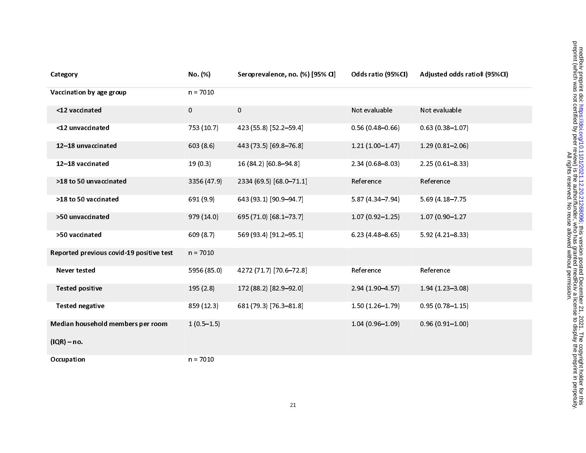| Category                                 | No. (%)      | Seroprevalence, no. (%) [95% CI] | Odds ratio (95%Cl)  | Adjusted odds ratio‡ (95%Cl) |
|------------------------------------------|--------------|----------------------------------|---------------------|------------------------------|
| Vaccination by age group                 | $n = 7010$   |                                  |                     |                              |
| <12 vaccinated                           | $\mathbf{0}$ | $\overline{0}$                   | Not evaluable       | Not evaluable                |
| <12 unvaccinated                         | 753 (10.7)   | 423 (55.8) [52.2-59.4]           | $0.56(0.48 - 0.66)$ | $0.63(0.38 - 1.07)$          |
| 12-18 unvaccinated                       | 603(8.6)     | 443 (73.5) [69.8-76.8]           | $1.21(1.00-1.47)$   | $1.29(0.81 - 2.06)$          |
| 12-18 vaccinated                         | 19(0.3)      | 16 (84.2) [60.8-94.8]            | $2.34(0.68 - 8.03)$ | $2.25(0.61 - 8.33)$          |
| >18 to 50 unvaccinated                   | 3356 (47.9)  | 2334 (69.5) [68.0-71.1]          | Reference           | Reference                    |
| >18 to 50 vaccinated                     | 691 (9.9)    | 643 (93.1) [90.9-94.7]           | $5.87(4.34 - 7.94)$ | 5.69 (4.18-7.75              |
| >50 unvaccinated                         | 979 (14.0)   | 695 (71.0) [68.1-73.7]           | $1.07(0.92 - 1.25)$ | 1.07 (0.90-1.27              |
| >50 vaccinated                           | 609 (8.7)    | 569 (93.4) [91.2-95.1]           | $6.23(4.48 - 8.65)$ | $5.92(4.21 - 8.33)$          |
| Reported previous covid-19 positive test | $n = 7010$   |                                  |                     |                              |
| <b>Never tested</b>                      | 5956 (85.0)  | 4272 (71.7) [70.6-72.8]          | Reference           | Reference                    |
| <b>Tested positive</b>                   | 195(2.8)     | 172 (88.2) [82.9-92.0]           | 2.94 (1.90-4.57)    | $1.94(1.23 - 3.08)$          |
| <b>Tested negative</b>                   | 859 (12.3)   | 681 (79.3) [76.3-81.8]           | $1.50(1.26 - 1.79)$ | $0.95(0.78 - 1.15)$          |
| Median household members per room        | $1(0.5-1.5)$ |                                  | $1.04(0.96 - 1.09)$ | $0.96(0.91 - 1.00)$          |
| $(IQR) - no.$                            |              |                                  |                     |                              |
| Occupation                               | $n = 7010$   |                                  |                     |                              |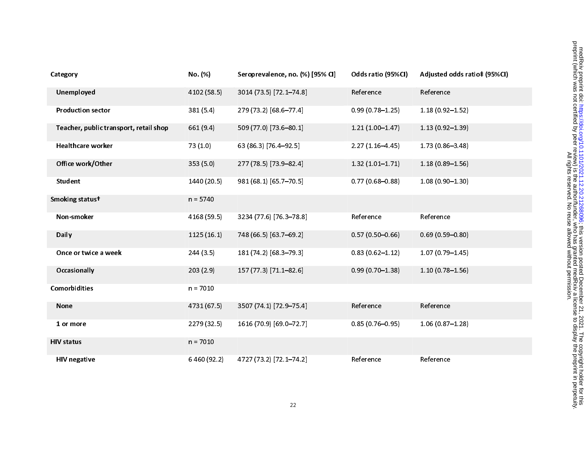| Category                               | No. (%)     | Seroprevalence, no. (%) [95% CI] | Odds ratio (95%CI)  | Adjusted odds ratio‡ (95%Cl) |
|----------------------------------------|-------------|----------------------------------|---------------------|------------------------------|
| Unemployed                             | 4102 (58.5) | 3014 (73.5) [72.1-74.8]          | Reference           | Reference                    |
| <b>Production sector</b>               | 381 (5.4)   | 279 (73.2) [68.6-77.4]           | $0.99(0.78 - 1.25)$ | $1.18(0.92 - 1.52)$          |
| Teacher, public transport, retail shop | 661 (9.4)   | 509 (77.0) [73.6-80.1]           | $1.21(1.00-1.47)$   | $1.13(0.92 - 1.39)$          |
| <b>Healthcare worker</b>               | 73(1.0)     | 63 (86.3) [76.4-92.5]            | $2.27(1.16 - 4.45)$ | 1.73 (0.86-3.48)             |
| Office work/Other                      | 353(5.0)    | 277 (78.5) [73.9-82.4]           | $1.32(1.01 - 1.71)$ | $1.18(0.89 - 1.56)$          |
| Student                                | 1440 (20.5) | 981 (68.1) [65.7-70.5]           | $0.77(0.68 - 0.88)$ | $1.08(0.90 - 1.30)$          |
| Smoking statust                        | $n = 5740$  |                                  |                     |                              |
| Non-smoker                             | 4168 (59.5) | 3234 (77.6) [76.3-78.8]          | Reference           | Reference                    |
| Daily                                  | 1125(16.1)  | 748 (66.5) [63.7-69.2]           | $0.57(0.50 - 0.66)$ | $0.69(0.59 - 0.80)$          |
| Once or twice a week                   | 244(3.5)    | 181 (74.2) [68.3-79.3]           | $0.83(0.62 - 1.12)$ | $1.07(0.79 - 1.45)$          |
| Occasionally                           | 203(2.9)    | 157 (77.3) [71.1-82.6]           | $0.99(0.70 - 1.38)$ | $1.10(0.78 - 1.56)$          |
| <b>Comorbidities</b>                   | $n = 7010$  |                                  |                     |                              |
| <b>None</b>                            | 4731 (67.5) | 3507 (74.1) [72.9-75.4]          | Reference           | Reference                    |
| 1 or more                              | 2279 (32.5) | 1616 (70.9) [69.0-72.7]          | $0.85(0.76 - 0.95)$ | $1.06(0.87 - 1.28)$          |
| <b>HIV status</b>                      | $n = 7010$  |                                  |                     |                              |
| <b>HIV negative</b>                    | 6460 (92.2) | 4727 (73.2) [72.1-74.2]          | Reference           | Reference                    |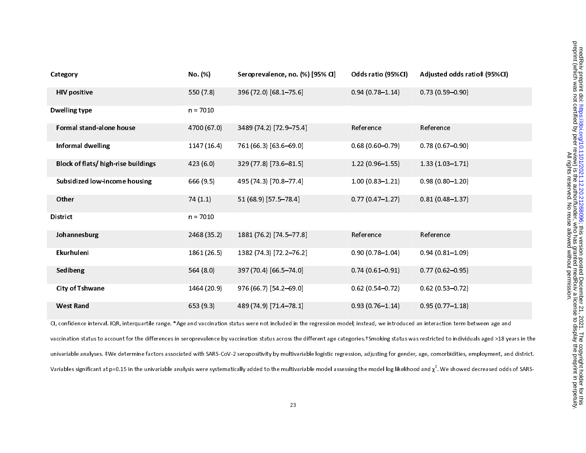| Category                            | No. (%)     | Seroprevalence, no. (%) [95% CI] | Odds ratio (95%Cl)  | Adjusted odds ratio‡ (95%Cl) |
|-------------------------------------|-------------|----------------------------------|---------------------|------------------------------|
| <b>HIV positive</b>                 | 550 (7.8)   | 396 (72.0) [68.1-75.6]           | $0.94(0.78 - 1.14)$ | $0.73(0.59 - 0.90)$          |
| <b>Dwelling type</b>                | $n = 7010$  |                                  |                     |                              |
| Formal stand-alone house            | 4700 (67.0) | 3489 (74.2) [72.9-75.4]          | Reference           | Reference                    |
| <b>Informal dwelling</b>            | 1147(16.4)  | 761 (66.3) [63.6-69.0]           | $0.68(0.60 - 0.79)$ | $0.78(0.67 - 0.90)$          |
| Block of flats/ high-rise buildings | 423 (6.0)   | 329 (77.8) [73.6-81.5]           | $1.22(0.96 - 1.55)$ | $1.33(1.03 - 1.71)$          |
| Subsidized low-income housing       | 666 (9.5)   | 495 (74.3) [70.8-77.4]           | $1.00(0.83 - 1.21)$ | $0.98(0.80 - 1.20)$          |
| Other                               | 74(1.1)     | 51 (68.9) [57.5-78.4]            | $0.77(0.47 - 1.27)$ | $0.81(0.48 - 1.37)$          |
| <b>District</b>                     | $n = 7010$  |                                  |                     |                              |
| Johannesburg                        | 2468 (35.2) | 1881 (76.2) [74.5-77.8]          | Reference           | Reference                    |
| Ekurhuleni                          | 1861 (26.5) | 1382 (74.3) [72.2-76.2]          | $0.90(0.78 - 1.04)$ | $0.94(0.81 - 1.09)$          |
| Sedibeng                            | 564 (8.0)   | 397 (70.4) [66.5-74.0]           | $0.74(0.61 - 0.91)$ | $0.77(0.62 - 0.95)$          |
| <b>City of Tshwane</b>              | 1464 (20.9) | 976 (66.7) [54.2-69.0]           | $0.62(0.54 - 0.72)$ | $0.62(0.53 - 0.72)$          |
| <b>West Rand</b>                    | 653(9.3)    | 489 (74.9) [71.4-78.1]           | $0.93(0.76 - 1.14)$ | $0.95(0.77 - 1.18)$          |

CI, confidence interval. IQR, interquartile range. \*Age and vaccination status were not included in the regression model; instead, we introduced an interaction term between age and vaccination status to account for the differences in seroprevalence by vaccination status across the different age categories.†Smoking status was restricted to individuals aged >18 years in the univariable analyses. ‡We determine factors associated with SARS-CoV-2 seropositivity by multivariable logistic regression, adjusting for gender, age, comorbidities, employment, and district. Variables significant at p=0.15 in the univariable analysis were systematically added to the multivariable model assessing the model log likelihood and  $\chi^2$ . We showed decreased odds of SARS-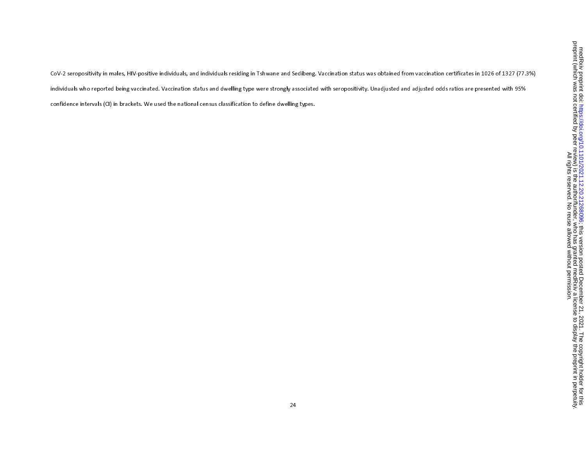CoV-2 seropositivity in males, HIV-positive individuals, and individuals residing in Tshwane and Sedibeng. Vaccination status was obtained from vaccination certificates in 1026 of 1327 (77.3%) individuals who reported being vaccinated. Vaccination status and dwelling type were strongly associated with seropositivity. Unadjusted and adjusted odds ratios are presented with 95% confidence intervals (CI) in brackets. We used the national census classification to define dwelling types.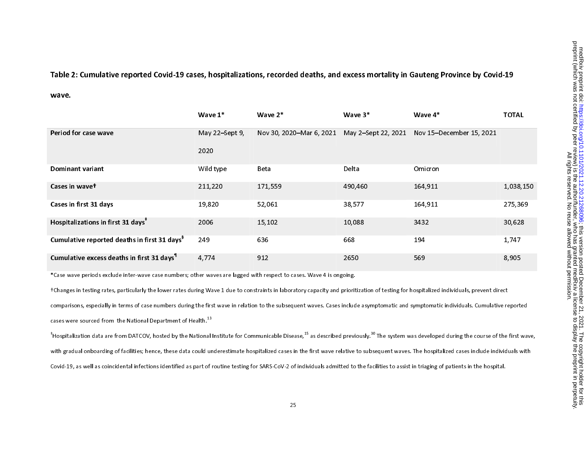Table 2: Cumulative reported Covid-19 cases, hospitalizations, recorded deaths, and excess mortality in Gauteng Province by Covid-19

wave.

|                                                          | Wave $1^*$     | Wave $2^*$               | Wave $3*$           | Wave $4*$                | <b>TOTAL</b> |
|----------------------------------------------------------|----------------|--------------------------|---------------------|--------------------------|--------------|
| Period for case wave                                     | May 22-Sept 9, | Nov 30, 2020-Mar 6, 2021 | May 2-Sept 22, 2021 | Nov 15-December 15, 2021 |              |
|                                                          | 2020           |                          |                     |                          |              |
| Dominant variant                                         | Wild type      | Beta                     | Delta               | <b>Omicron</b>           |              |
| Cases in wavet                                           | 211,220        | 171,559                  | 490,460             | 164,911                  | 1,038,150    |
| Cases in first 31 days                                   | 19,820         | 52,061                   | 38,577              | 164,911                  | 275,369      |
| Hospitalizations in first 31 days <sup>*</sup>           | 2006           | 15,102                   | 10,088              | 3432                     | 30,628       |
| Cumulative reported deaths in first 31 days <sup>8</sup> | 249            | 636                      | 668                 | 194                      | 1,747        |
| Cumulative excess deaths in first 31 days <sup>1</sup>   | 4,774          | 912                      | 2650                | 569                      | 8,905        |

\*Case wave periods exclude inter-wave case numbers; other waves are lagged with respect to cases. Wave 4 is ongoing.

†Changes in testing rates, particularly the lower rates during Wave 1 due to constraints in laboratory capacity and prioritization of testing for hospitalized individuals, prevent direct comparisons, especially in terms of case numbers during the first wave in relation to the subsequent waves. Cases include asymptomatic and symptomatic individuals. Cumulative reported cases were sourced from the National Department of Health.<sup>13</sup>

 $^{\text{+}}$ Hospitalization data are from DATCOV, hosted by the National Institute for Communicable Disease,<sup>15</sup> as described previously.<sup>30</sup> The system was developed during the course of the first wave. with gradual onboarding of facilities; hence, these data could underestimate hospitalized cases in the first wave relative to subsequent waves. The hospitalized cases include individuals with Covid-19, as well as coincidental infections identified as part of routine testing for SARS-CoV-2 of individuals admitted to the facilities to assist in triaging of patients in the hospital.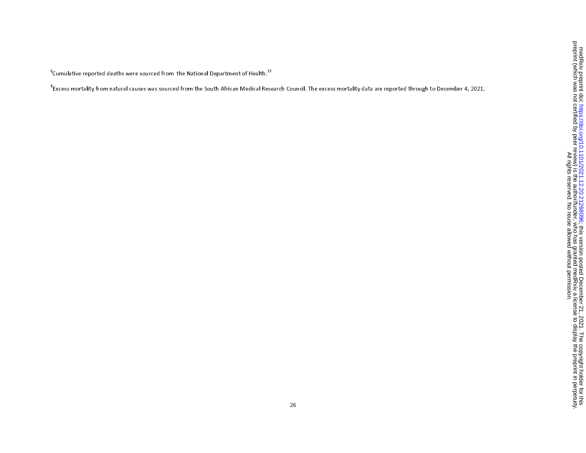$\rm{^6}$ Cumulative reported deaths were sourced from the National Department of Health.<sup>13</sup>

¶Excess mortality from natural causes was sourced from the South African Medical Research Council. The excess mortality data are reported through to December 4, 2021.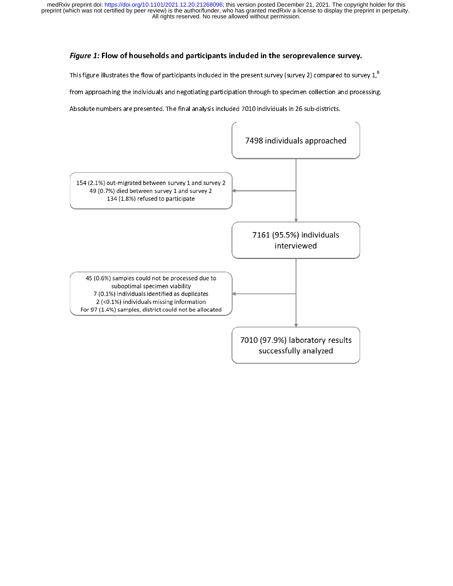# Figure 1: Flow of households and participants included in the seroprevalence survey.

This figure illustrates the flow of participants included in the present survey (survey 2) compared to survey  $1,$ 

from approaching the individuals and negotiating participation through to specimen collection and processing.

Absolute numbers are presented. The final analysis included 7010 individuals in 26 sub-districts.

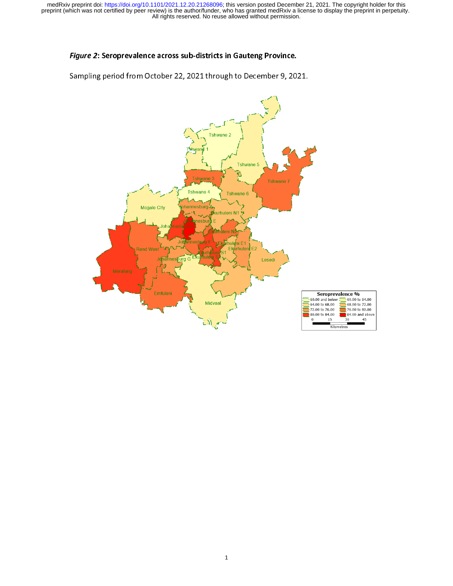# Figure 2: Seroprevalence across sub-districts in Gauteng Province.

Sampling period from October 22, 2021 through to December 9, 2021.